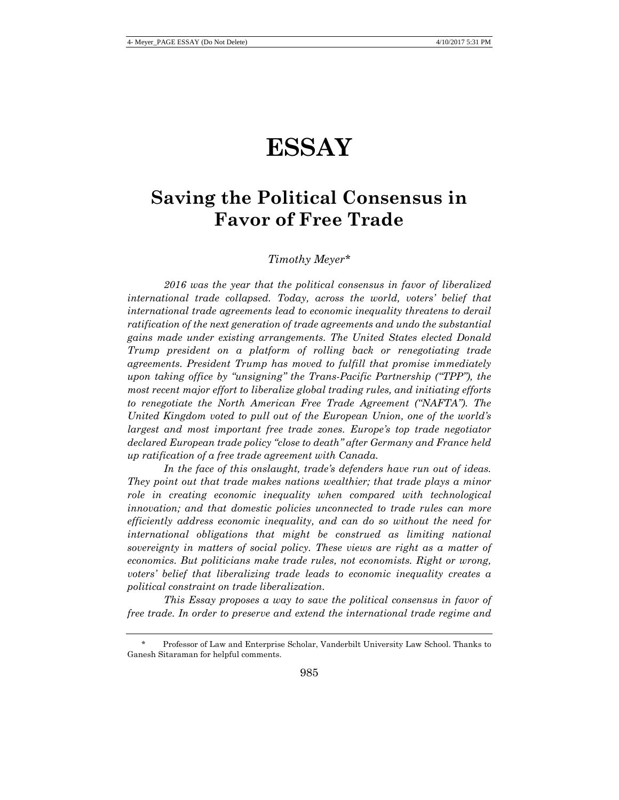# **ESSAY**

## **Saving the Political Consensus in Favor of Free Trade**

#### *Timothy Meyer*[\\*](#page-0-0)

*2016 was the year that the political consensus in favor of liberalized international trade collapsed. Today, across the world, voters' belief that international trade agreements lead to economic inequality threatens to derail ratification of the next generation of trade agreements and undo the substantial gains made under existing arrangements. The United States elected Donald Trump president on a platform of rolling back or renegotiating trade agreements. President Trump has moved to fulfill that promise immediately upon taking office by "unsigning" the Trans-Pacific Partnership ("TPP"), the most recent major effort to liberalize global trading rules, and initiating efforts to renegotiate the North American Free Trade Agreement ("NAFTA"). The United Kingdom voted to pull out of the European Union, one of the world's largest and most important free trade zones. Europe's top trade negotiator declared European trade policy "close to death" after Germany and France held up ratification of a free trade agreement with Canada.*

*In the face of this onslaught, trade's defenders have run out of ideas. They point out that trade makes nations wealthier; that trade plays a minor role in creating economic inequality when compared with technological innovation; and that domestic policies unconnected to trade rules can more efficiently address economic inequality, and can do so without the need for international obligations that might be construed as limiting national sovereignty in matters of social policy. These views are right as a matter of economics. But politicians make trade rules, not economists. Right or wrong, voters' belief that liberalizing trade leads to economic inequality creates a political constraint on trade liberalization.*

*This Essay proposes a way to save the political consensus in favor of free trade. In order to preserve and extend the international trade regime and* 

<span id="page-0-0"></span><sup>\*</sup> Professor of Law and Enterprise Scholar, Vanderbilt University Law School. Thanks to Ganesh Sitaraman for helpful comments.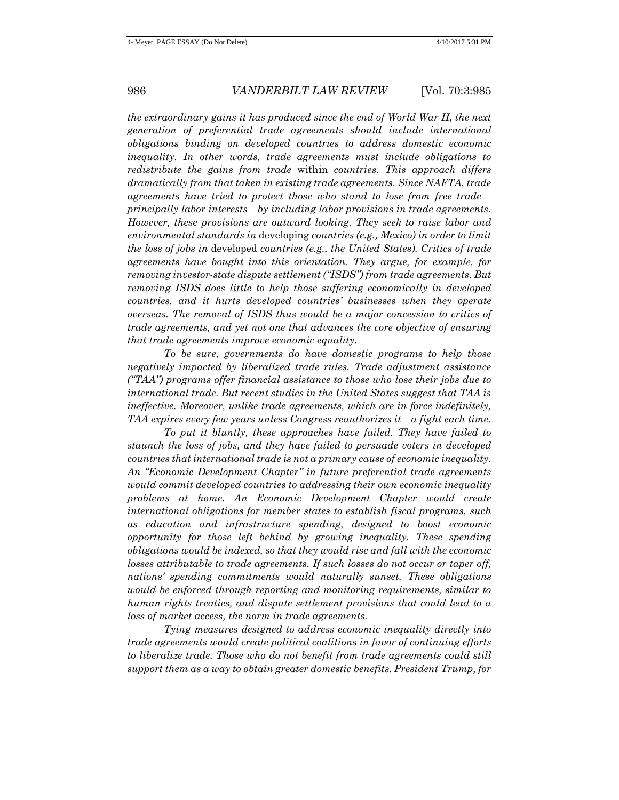*the extraordinary gains it has produced since the end of World War II, the next generation of preferential trade agreements should include international obligations binding on developed countries to address domestic economic inequality. In other words, trade agreements must include obligations to redistribute the gains from trade* within *countries. This approach differs dramatically from that taken in existing trade agreements. Since NAFTA, trade agreements have tried to protect those who stand to lose from free trade principally labor interests—by including labor provisions in trade agreements. However, these provisions are outward looking. They seek to raise labor and environmental standards in* developing *countries (e.g., Mexico) in order to limit the loss of jobs in* developed *countries (e.g., the United States). Critics of trade agreements have bought into this orientation. They argue, for example, for removing investor-state dispute settlement ("ISDS") from trade agreements. But removing ISDS does little to help those suffering economically in developed countries, and it hurts developed countries' businesses when they operate overseas. The removal of ISDS thus would be a major concession to critics of trade agreements, and yet not one that advances the core objective of ensuring that trade agreements improve economic equality.*

*To be sure, governments do have domestic programs to help those negatively impacted by liberalized trade rules. Trade adjustment assistance ("TAA") programs offer financial assistance to those who lose their jobs due to international trade. But recent studies in the United States suggest that TAA is ineffective. Moreover, unlike trade agreements, which are in force indefinitely, TAA expires every few years unless Congress reauthorizes it—a fight each time.*

*To put it bluntly, these approaches have failed. They have failed to staunch the loss of jobs, and they have failed to persuade voters in developed countries that international trade is not a primary cause of economic inequality. An "Economic Development Chapter" in future preferential trade agreements would commit developed countries to addressing their own economic inequality problems at home. An Economic Development Chapter would create international obligations for member states to establish fiscal programs, such as education and infrastructure spending, designed to boost economic opportunity for those left behind by growing inequality. These spending obligations would be indexed, so that they would rise and fall with the economic losses attributable to trade agreements. If such losses do not occur or taper off, nations' spending commitments would naturally sunset. These obligations would be enforced through reporting and monitoring requirements, similar to human rights treaties, and dispute settlement provisions that could lead to a loss of market access, the norm in trade agreements.*

*Tying measures designed to address economic inequality directly into trade agreements would create political coalitions in favor of continuing efforts to liberalize trade. Those who do not benefit from trade agreements could still support them as a way to obtain greater domestic benefits. President Trump, for*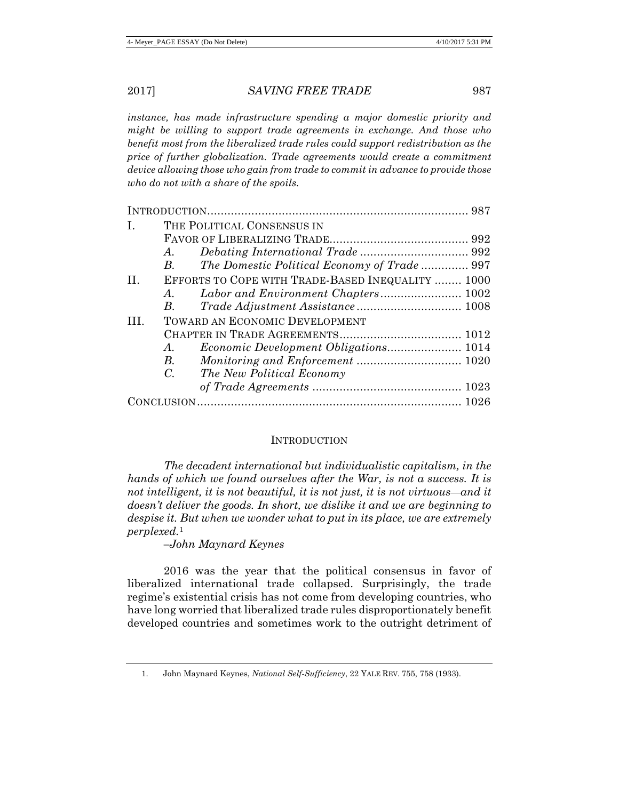*instance, has made infrastructure spending a major domestic priority and might be willing to support trade agreements in exchange. And those who benefit most from the liberalized trade rules could support redistribution as the price of further globalization. Trade agreements would create a commitment device allowing those who gain from trade to commit in advance to provide those who do not with a share of the spoils.*

| L.  | THE POLITICAL CONSENSUS IN                        |                                             |  |
|-----|---------------------------------------------------|---------------------------------------------|--|
|     |                                                   |                                             |  |
|     | A.                                                |                                             |  |
|     | $B_{\cdot}$                                       | The Domestic Political Economy of Trade 997 |  |
| II. | EFFORTS TO COPE WITH TRADE-BASED INEQUALITY  1000 |                                             |  |
|     | A.                                                | Labor and Environment Chapters 1002         |  |
|     | B.                                                |                                             |  |
| TH. | TOWARD AN ECONOMIC DEVELOPMENT                    |                                             |  |
|     |                                                   |                                             |  |
|     | $A_{\cdot}$                                       |                                             |  |
|     | $B$ .                                             |                                             |  |
|     | $C_{\cdot}$<br>The New Political Economy          |                                             |  |
|     |                                                   |                                             |  |
|     |                                                   |                                             |  |

#### **INTRODUCTION**

*The decadent international but individualistic capitalism, in the hands of which we found ourselves after the War, is not a success. It is not intelligent, it is not beautiful, it is not just, it is not virtuous—and it doesn't deliver the goods. In short, we dislike it and we are beginning to despise it. But when we wonder what to put in its place, we are extremely perplexed.*[1](#page-2-0)

*–John Maynard Keynes*

2016 was the year that the political consensus in favor of liberalized international trade collapsed. Surprisingly, the trade regime's existential crisis has not come from developing countries, who have long worried that liberalized trade rules disproportionately benefit developed countries and sometimes work to the outright detriment of

<span id="page-2-0"></span><sup>1.</sup> John Maynard Keynes, *National Self-Sufficiency*, 22 YALE REV. 755, 758 (1933).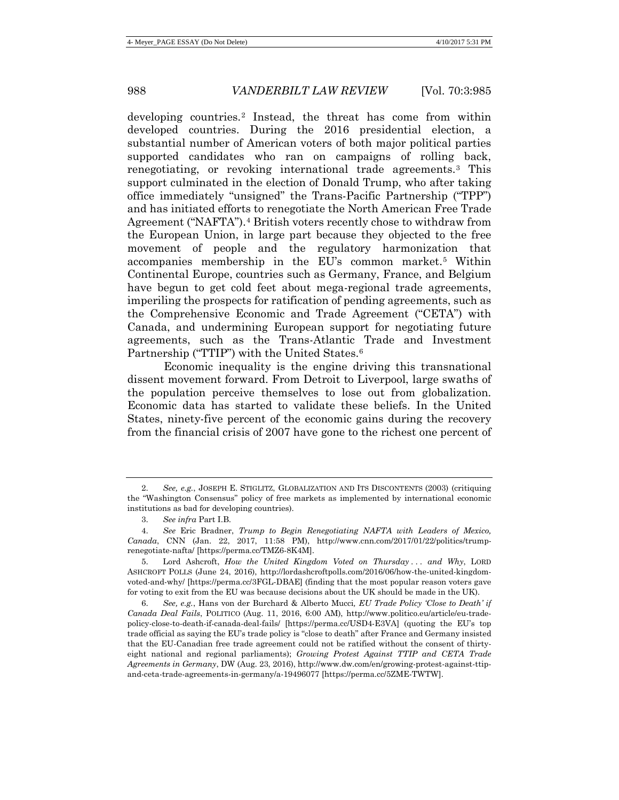developing countries.<sup>[2](#page-3-0)</sup> Instead, the threat has come from within developed countries. During the 2016 presidential election, a substantial number of American voters of both major political parties supported candidates who ran on campaigns of rolling back, renegotiating, or revoking international trade agreements.[3](#page-3-1) This support culminated in the election of Donald Trump, who after taking office immediately "unsigned" the Trans-Pacific Partnership ("TPP") and has initiated efforts to renegotiate the North American Free Trade Agreement ("NAFTA").[4](#page-3-2) British voters recently chose to withdraw from the European Union, in large part because they objected to the free movement of people and the regulatory harmonization that accompanies membership in the EU's common market.[5](#page-3-3) Within Continental Europe, countries such as Germany, France, and Belgium have begun to get cold feet about mega-regional trade agreements, imperiling the prospects for ratification of pending agreements, such as the Comprehensive Economic and Trade Agreement ("CETA") with Canada, and undermining European support for negotiating future agreements, such as the Trans-Atlantic Trade and Investment Partnership ("TTIP") with the United States.<sup>6</sup>

<span id="page-3-5"></span>Economic inequality is the engine driving this transnational dissent movement forward. From Detroit to Liverpool, large swaths of the population perceive themselves to lose out from globalization. Economic data has started to validate these beliefs. In the United States, ninety-five percent of the economic gains during the recovery from the financial crisis of 2007 have gone to the richest one percent of

<span id="page-3-3"></span>5. Lord Ashcroft, *How the United Kingdom Voted on Thursday . . . and Why*, LORD ASHCROFT POLLS (June 24, 2016), http://lordashcroftpolls.com/2016/06/how-the-united-kingdomvoted-and-why/ [https://perma.cc/3FGL-DBAE] (finding that the most popular reason voters gave for voting to exit from the EU was because decisions about the UK should be made in the UK).

<span id="page-3-4"></span>6. *See, e.g.*, Hans von der Burchard & Alberto Mucci*, EU Trade Policy 'Close to Death' if Canada Deal Fails*, POLITICO (Aug. 11, 2016, 6:00 AM), http://www.politico.eu/article/eu-tradepolicy-close-to-death-if-canada-deal-fails/ [https://perma.cc/USD4-E3VA] (quoting the EU's top trade official as saying the EU's trade policy is "close to death" after France and Germany insisted that the EU-Canadian free trade agreement could not be ratified without the consent of thirtyeight national and regional parliaments); *Growing Protest Against TTIP and CETA Trade Agreements in Germany*, DW (Aug. 23, 2016), http://www.dw.com/en/growing-protest-against-ttipand-ceta-trade-agreements-in-germany/a-19496077 [https://perma.cc/5ZME-TWTW].

<span id="page-3-0"></span><sup>2.</sup> *See, e.g.*, JOSEPH E. STIGLITZ, GLOBALIZATION AND ITS DISCONTENTS (2003) (critiquing the "Washington Consensus" policy of free markets as implemented by international economic institutions as bad for developing countries).

<sup>3.</sup> *See infra* Part I.B.

<span id="page-3-2"></span><span id="page-3-1"></span><sup>4.</sup> *See* Eric Bradner, *Trump to Begin Renegotiating NAFTA with Leaders of Mexico, Canada*, CNN (Jan. 22, 2017, 11:58 PM), http://www.cnn.com/2017/01/22/politics/trumprenegotiate-nafta/ [https://perma.cc/TMZ6-8K4M].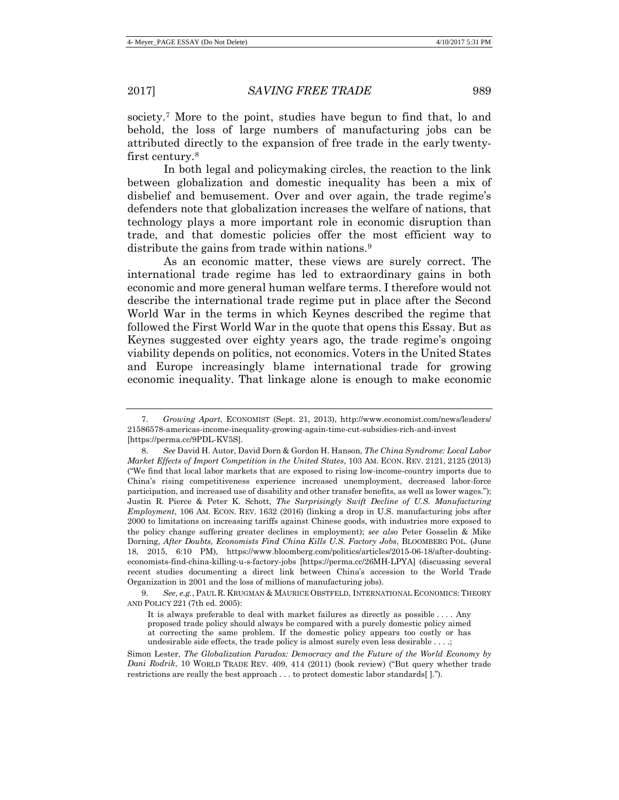society.<sup>[7](#page-4-0)</sup> More to the point, studies have begun to find that, lo and behold, the loss of large numbers of manufacturing jobs can be attributed directly to the expansion of free trade in the early twentyfirst century.[8](#page-4-1)

<span id="page-4-4"></span>In both legal and policymaking circles, the reaction to the link between globalization and domestic inequality has been a mix of disbelief and bemusement. Over and over again, the trade regime's defenders note that globalization increases the welfare of nations, that technology plays a more important role in economic disruption than trade, and that domestic policies offer the most efficient way to distribute the gains from trade within nations.<sup>[9](#page-4-2)</sup>

<span id="page-4-3"></span>As an economic matter, these views are surely correct. The international trade regime has led to extraordinary gains in both economic and more general human welfare terms. I therefore would not describe the international trade regime put in place after the Second World War in the terms in which Keynes described the regime that followed the First World War in the quote that opens this Essay. But as Keynes suggested over eighty years ago, the trade regime's ongoing viability depends on politics, not economics. Voters in the United States and Europe increasingly blame international trade for growing economic inequality. That linkage alone is enough to make economic

<span id="page-4-2"></span>9. *See, e.g.*, PAUL R. KRUGMAN & MAURICE OBSTFELD, INTERNATIONAL ECONOMICS: THEORY AND POLICY 221 (7th ed. 2005):

It is always preferable to deal with market failures as directly as possible . . . . Any proposed trade policy should always be compared with a purely domestic policy aimed at correcting the same problem. If the domestic policy appears too costly or has undesirable side effects, the trade policy is almost surely even less desirable . . . .;

<span id="page-4-0"></span><sup>7.</sup> *Growing Apart*, ECONOMIST (Sept. 21, 2013), http://www.economist.com/news/leaders/ 21586578-americas-income-inequality-growing-again-time-cut-subsidies-rich-and-invest [https://perma.cc/9PDL-KV5S].

<span id="page-4-1"></span><sup>8.</sup> *See* David H. Autor, David Dorn & Gordon H. Hanson, *The China Syndrome: Local Labor Market Effects of Import Competition in the United States*, 103 AM. ECON. REV. 2121, 2125 (2013) ("We find that local labor markets that are exposed to rising low-income-country imports due to China's rising competitiveness experience increased unemployment, decreased labor-force participation, and increased use of disability and other transfer benefits, as well as lower wages."); Justin R. Pierce & Peter K. Schott, *The Surprisingly Swift Decline of U.S. Manufacturing Employment*, 106 AM. ECON. REV. 1632 (2016) (linking a drop in U.S. manufacturing jobs after 2000 to limitations on increasing tariffs against Chinese goods, with industries more exposed to the policy change suffering greater declines in employment); *see also* Peter Gosselin & Mike Dorning, *After Doubts, Economists Find China Kills U.S. Factory Jobs*, BLOOMBERG POL. (June 18, 2015, 6:10 PM), https://www.bloomberg.com/politics/articles/2015-06-18/after-doubtingeconomists-find-china-killing-u-s-factory-jobs [https://perma.cc/26MH-LPYA] (discussing several recent studies documenting a direct link between China's accession to the World Trade Organization in 2001 and the loss of millions of manufacturing jobs).

Simon Lester, *The Globalization Paradox: Democracy and the Future of the World Economy by Dani Rodrik*, 10 WORLD TRADE REV. 409, 414 (2011) (book review) ("But query whether trade restrictions are really the best approach . . . to protect domestic labor standards[ ].").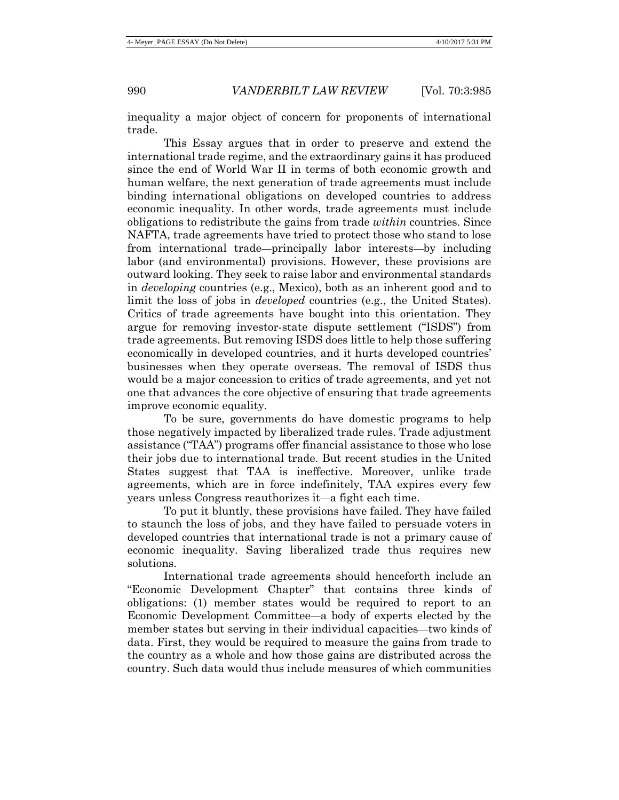inequality a major object of concern for proponents of international trade.

This Essay argues that in order to preserve and extend the international trade regime, and the extraordinary gains it has produced since the end of World War II in terms of both economic growth and human welfare, the next generation of trade agreements must include binding international obligations on developed countries to address economic inequality. In other words, trade agreements must include obligations to redistribute the gains from trade *within* countries. Since NAFTA, trade agreements have tried to protect those who stand to lose from international trade*—*principally labor interests*—*by including labor (and environmental) provisions. However, these provisions are outward looking. They seek to raise labor and environmental standards in *developing* countries (e.g., Mexico), both as an inherent good and to limit the loss of jobs in *developed* countries (e.g., the United States). Critics of trade agreements have bought into this orientation. They argue for removing investor-state dispute settlement ("ISDS") from trade agreements. But removing ISDS does little to help those suffering economically in developed countries, and it hurts developed countries' businesses when they operate overseas. The removal of ISDS thus would be a major concession to critics of trade agreements, and yet not one that advances the core objective of ensuring that trade agreements improve economic equality.

To be sure, governments do have domestic programs to help those negatively impacted by liberalized trade rules. Trade adjustment assistance ("TAA") programs offer financial assistance to those who lose their jobs due to international trade. But recent studies in the United States suggest that TAA is ineffective. Moreover, unlike trade agreements, which are in force indefinitely, TAA expires every few years unless Congress reauthorizes it*—*a fight each time.

To put it bluntly, these provisions have failed. They have failed to staunch the loss of jobs, and they have failed to persuade voters in developed countries that international trade is not a primary cause of economic inequality. Saving liberalized trade thus requires new solutions.

International trade agreements should henceforth include an "Economic Development Chapter" that contains three kinds of obligations: (1) member states would be required to report to an Economic Development Committee*—*a body of experts elected by the member states but serving in their individual capacities*—*two kinds of data. First, they would be required to measure the gains from trade to the country as a whole and how those gains are distributed across the country. Such data would thus include measures of which communities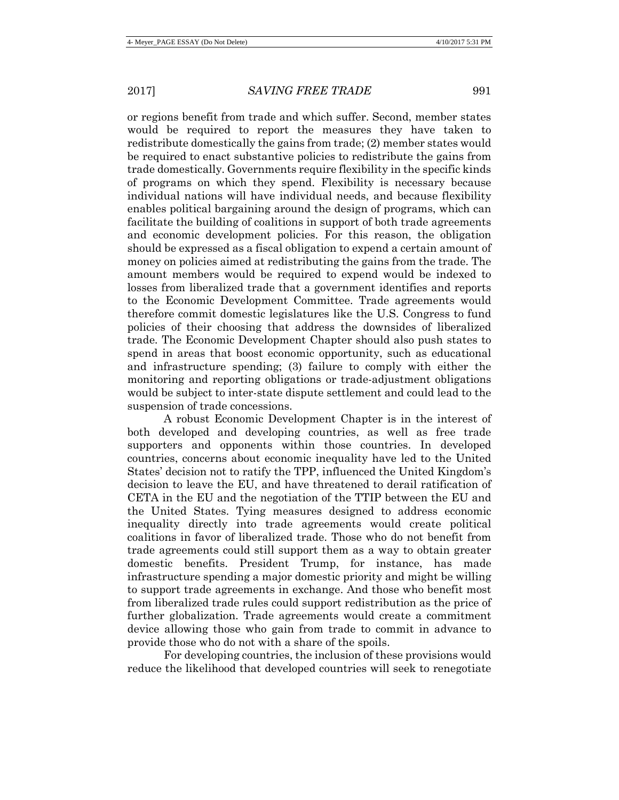or regions benefit from trade and which suffer. Second, member states would be required to report the measures they have taken to redistribute domestically the gains from trade; (2) member states would be required to enact substantive policies to redistribute the gains from trade domestically. Governments require flexibility in the specific kinds of programs on which they spend. Flexibility is necessary because individual nations will have individual needs, and because flexibility enables political bargaining around the design of programs, which can facilitate the building of coalitions in support of both trade agreements and economic development policies. For this reason, the obligation should be expressed as a fiscal obligation to expend a certain amount of money on policies aimed at redistributing the gains from the trade. The amount members would be required to expend would be indexed to losses from liberalized trade that a government identifies and reports to the Economic Development Committee. Trade agreements would therefore commit domestic legislatures like the U.S. Congress to fund policies of their choosing that address the downsides of liberalized trade. The Economic Development Chapter should also push states to spend in areas that boost economic opportunity, such as educational and infrastructure spending; (3) failure to comply with either the monitoring and reporting obligations or trade-adjustment obligations would be subject to inter-state dispute settlement and could lead to the suspension of trade concessions.

A robust Economic Development Chapter is in the interest of both developed and developing countries, as well as free trade supporters and opponents within those countries. In developed countries, concerns about economic inequality have led to the United States' decision not to ratify the TPP, influenced the United Kingdom's decision to leave the EU, and have threatened to derail ratification of CETA in the EU and the negotiation of the TTIP between the EU and the United States. Tying measures designed to address economic inequality directly into trade agreements would create political coalitions in favor of liberalized trade. Those who do not benefit from trade agreements could still support them as a way to obtain greater domestic benefits. President Trump, for instance, has made infrastructure spending a major domestic priority and might be willing to support trade agreements in exchange. And those who benefit most from liberalized trade rules could support redistribution as the price of further globalization. Trade agreements would create a commitment device allowing those who gain from trade to commit in advance to provide those who do not with a share of the spoils.

For developing countries, the inclusion of these provisions would reduce the likelihood that developed countries will seek to renegotiate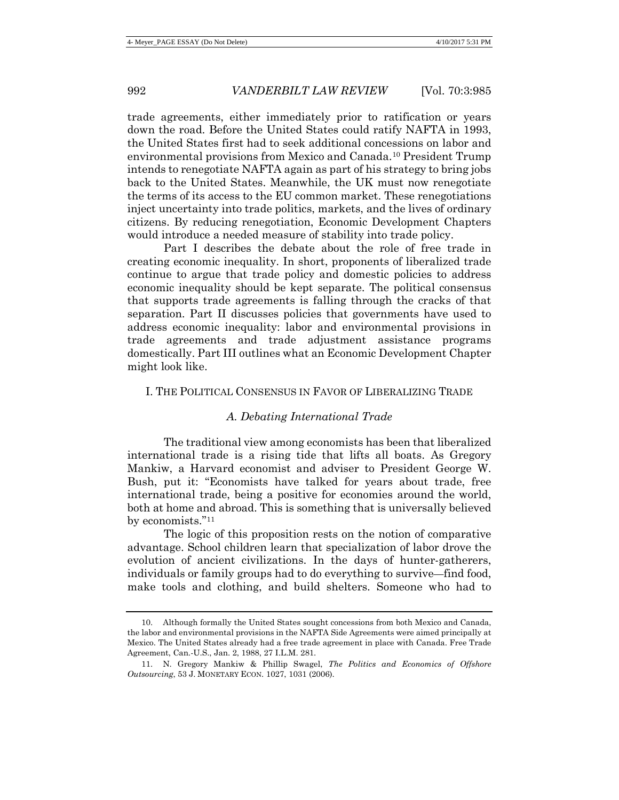trade agreements, either immediately prior to ratification or years down the road. Before the United States could ratify NAFTA in 1993, the United States first had to seek additional concessions on labor and environmental provisions from Mexico and Canada.[10](#page-7-0) President Trump intends to renegotiate NAFTA again as part of his strategy to bring jobs back to the United States. Meanwhile, the UK must now renegotiate the terms of its access to the EU common market. These renegotiations inject uncertainty into trade politics, markets, and the lives of ordinary citizens. By reducing renegotiation, Economic Development Chapters would introduce a needed measure of stability into trade policy.

Part I describes the debate about the role of free trade in creating economic inequality. In short, proponents of liberalized trade continue to argue that trade policy and domestic policies to address economic inequality should be kept separate. The political consensus that supports trade agreements is falling through the cracks of that separation. Part II discusses policies that governments have used to address economic inequality: labor and environmental provisions in trade agreements and trade adjustment assistance programs domestically. Part III outlines what an Economic Development Chapter might look like.

#### I. THE POLITICAL CONSENSUS IN FAVOR OF LIBERALIZING TRADE

#### *A. Debating International Trade*

The traditional view among economists has been that liberalized international trade is a rising tide that lifts all boats. As Gregory Mankiw, a Harvard economist and adviser to President George W. Bush, put it: "Economists have talked for years about trade, free international trade, being a positive for economies around the world, both at home and abroad. This is something that is universally believed by economists."[11](#page-7-1)

The logic of this proposition rests on the notion of comparative advantage. School children learn that specialization of labor drove the evolution of ancient civilizations. In the days of hunter-gatherers, individuals or family groups had to do everything to survive*—*find food, make tools and clothing, and build shelters. Someone who had to

<span id="page-7-0"></span><sup>10.</sup> Although formally the United States sought concessions from both Mexico and Canada, the labor and environmental provisions in the NAFTA Side Agreements were aimed principally at Mexico. The United States already had a free trade agreement in place with Canada. Free Trade Agreement, Can.-U.S., Jan. 2, 1988, 27 I.L.M. 281.

<span id="page-7-1"></span><sup>11.</sup> N. Gregory Mankiw & Phillip Swagel, *The Politics and Economics of Offshore Outsourcing*, 53 J. MONETARY ECON. 1027, 1031 (2006).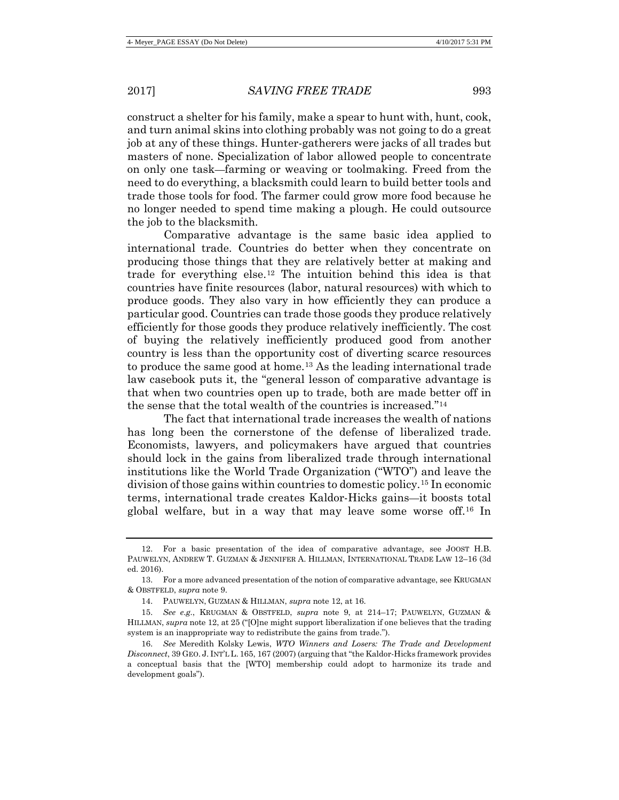construct a shelter for his family, make a spear to hunt with, hunt, cook, and turn animal skins into clothing probably was not going to do a great job at any of these things. Hunter-gatherers were jacks of all trades but masters of none. Specialization of labor allowed people to concentrate on only one task*—*farming or weaving or toolmaking. Freed from the need to do everything, a blacksmith could learn to build better tools and trade those tools for food. The farmer could grow more food because he no longer needed to spend time making a plough. He could outsource the job to the blacksmith.

<span id="page-8-0"></span>Comparative advantage is the same basic idea applied to international trade. Countries do better when they concentrate on producing those things that they are relatively better at making and trade for everything else.[12](#page-8-1) The intuition behind this idea is that countries have finite resources (labor, natural resources) with which to produce goods. They also vary in how efficiently they can produce a particular good. Countries can trade those goods they produce relatively efficiently for those goods they produce relatively inefficiently. The cost of buying the relatively inefficiently produced good from another country is less than the opportunity cost of diverting scarce resources to produce the same good at home.[13](#page-8-2) As the leading international trade law casebook puts it, the "general lesson of comparative advantage is that when two countries open up to trade, both are made better off in the sense that the total wealth of the countries is increased."[14](#page-8-3)

The fact that international trade increases the wealth of nations has long been the cornerstone of the defense of liberalized trade. Economists, lawyers, and policymakers have argued that countries should lock in the gains from liberalized trade through international institutions like the World Trade Organization ("WTO") and leave the division of those gains within countries to domestic policy.[15](#page-8-4) In economic terms, international trade creates Kaldor-Hicks gains*—*it boosts total global welfare, but in a way that may leave some worse off.[16](#page-8-5) In

<span id="page-8-1"></span><sup>12.</sup> For a basic presentation of the idea of comparative advantage, see JOOST H.B. PAUWELYN, ANDREW T. GUZMAN & JENNIFER A. HILLMAN, INTERNATIONAL TRADE LAW 12–16 (3d ed. 2016).

<span id="page-8-2"></span><sup>13.</sup> For a more advanced presentation of the notion of comparative advantage, see KRUGMAN & OBSTFELD, *supra* not[e 9.](#page-4-3) 

<sup>14.</sup> PAUWELYN, GUZMAN & HILLMAN, *supra* note [12,](#page-8-0) at 16.

<span id="page-8-4"></span><span id="page-8-3"></span><sup>15.</sup> *See e.g.*, KRUGMAN & OBSTFELD, *supra* note [9,](#page-4-3) at 214–17; PAUWELYN, GUZMAN & HILLMAN, *supra* not[e 12,](#page-8-0) at 25 ("[O]ne might support liberalization if one believes that the trading system is an inappropriate way to redistribute the gains from trade.").

<span id="page-8-5"></span><sup>16.</sup> *See* Meredith Kolsky Lewis, *WTO Winners and Losers: The Trade and Development Disconnect*, 39 GEO. J. INT'L L. 165, 167 (2007) (arguing that "the Kaldor-Hicks framework provides a conceptual basis that the [WTO] membership could adopt to harmonize its trade and development goals").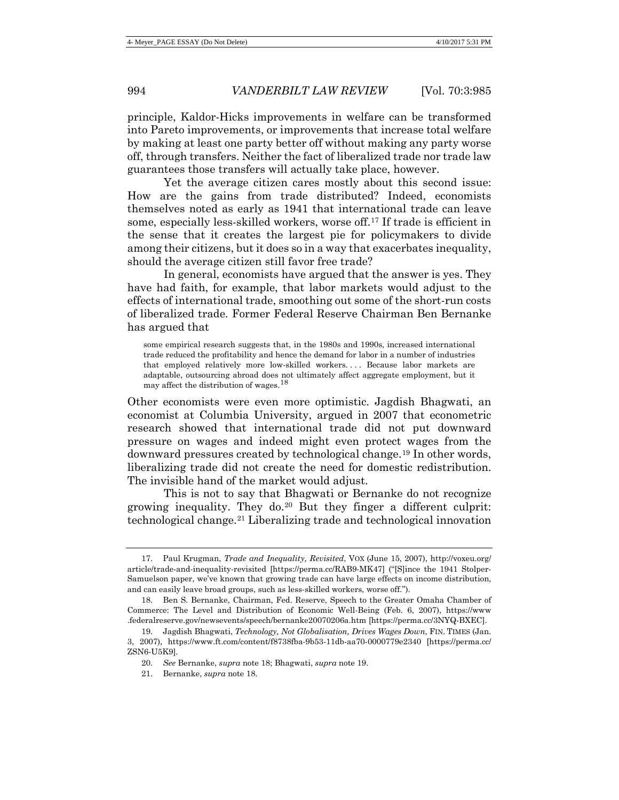principle, Kaldor-Hicks improvements in welfare can be transformed into Pareto improvements, or improvements that increase total welfare by making at least one party better off without making any party worse off, through transfers. Neither the fact of liberalized trade nor trade law guarantees those transfers will actually take place, however.

<span id="page-9-7"></span>Yet the average citizen cares mostly about this second issue: How are the gains from trade distributed? Indeed, economists themselves noted as early as 1941 that international trade can leave some, especially less-skilled workers, worse off.[17](#page-9-2) If trade is efficient in the sense that it creates the largest pie for policymakers to divide among their citizens, but it does so in a way that exacerbates inequality, should the average citizen still favor free trade?

In general, economists have argued that the answer is yes. They have had faith, for example, that labor markets would adjust to the effects of international trade, smoothing out some of the short-run costs of liberalized trade. Former Federal Reserve Chairman Ben Bernanke has argued that

<span id="page-9-0"></span>some empirical research suggests that, in the 1980s and 1990s, increased international trade reduced the profitability and hence the demand for labor in a number of industries that employed relatively more low-skilled workers. . . . Because labor markets are adaptable, outsourcing abroad does not ultimately affect aggregate employment, but it may affect the distribution of wages.[18](#page-9-3)

Other economists were even more optimistic. Jagdish Bhagwati, an economist at Columbia University, argued in 2007 that econometric research showed that international trade did not put downward pressure on wages and indeed might even protect wages from the downward pressures created by technological change.[19](#page-9-4) In other words, liberalizing trade did not create the need for domestic redistribution. The invisible hand of the market would adjust.

<span id="page-9-1"></span>This is not to say that Bhagwati or Bernanke do not recognize growing inequality. They do.[20](#page-9-5) But they finger a different culprit: technological change.[21](#page-9-6) Liberalizing trade and technological innovation

<span id="page-9-2"></span><sup>17.</sup> Paul Krugman, *Trade and Inequality, Revisited*, VOX (June 15, 2007), http://voxeu.org/ article/trade-and-inequality-revisited [https://perma.cc/RAB9-MK47] ("[S]ince the 1941 Stolper-Samuelson paper, we've known that growing trade can have large effects on income distribution, and can easily leave broad groups, such as less-skilled workers, worse off.").

<span id="page-9-3"></span><sup>18.</sup> Ben S. Bernanke, Chairman, Fed. Reserve, Speech to the Greater Omaha Chamber of Commerce: The Level and Distribution of Economic Well-Being (Feb. 6, 2007), https://www .federalreserve.gov/newsevents/speech/bernanke20070206a.htm [https://perma.cc/3NYQ-BXEC].

<span id="page-9-6"></span><span id="page-9-5"></span><span id="page-9-4"></span><sup>19.</sup> Jagdish Bhagwati, *Technology, Not Globalisation, Drives Wages Down*, FIN. TIMES (Jan. 3, 2007), https://www.ft.com/content/f8738fba-9b53-11db-aa70-0000779e2340 [https://perma.cc/ ZSN6-U5K9].

<sup>20.</sup> *See* Bernanke, *supra* not[e 18;](#page-9-0) Bhagwati, *supra* not[e 19.](#page-9-1)

<sup>21.</sup> Bernanke, *supra* not[e 18.](#page-9-0)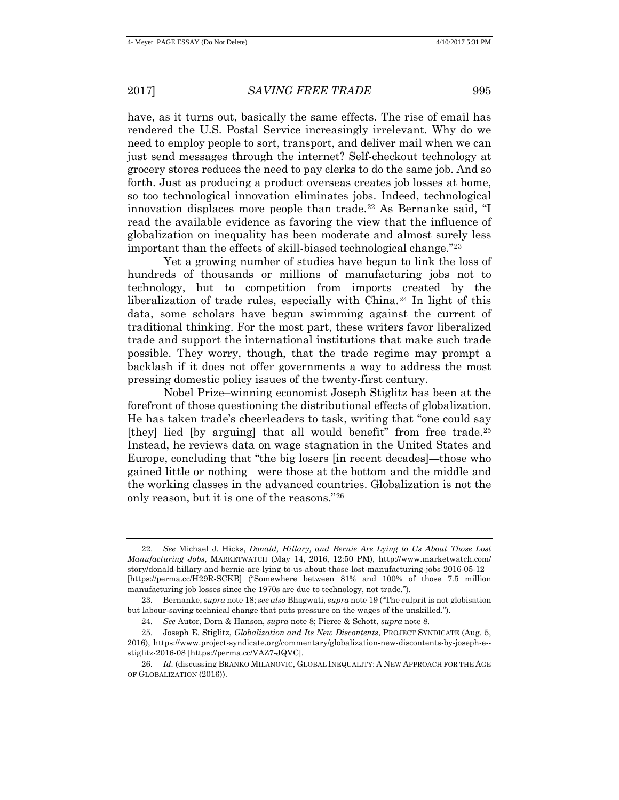have, as it turns out, basically the same effects. The rise of email has rendered the U.S. Postal Service increasingly irrelevant. Why do we need to employ people to sort, transport, and deliver mail when we can just send messages through the internet? Self-checkout technology at grocery stores reduces the need to pay clerks to do the same job. And so forth. Just as producing a product overseas creates job losses at home, so too technological innovation eliminates jobs. Indeed, technological innovation displaces more people than trade.<sup>[22](#page-10-0)</sup> As Bernanke said, "I read the available evidence as favoring the view that the influence of globalization on inequality has been moderate and almost surely less important than the effects of skill-biased technological change."[23](#page-10-1)

Yet a growing number of studies have begun to link the loss of hundreds of thousands or millions of manufacturing jobs not to technology, but to competition from imports created by the liberalization of trade rules, especially with China.[24](#page-10-2) In light of this data, some scholars have begun swimming against the current of traditional thinking. For the most part, these writers favor liberalized trade and support the international institutions that make such trade possible. They worry, though, that the trade regime may prompt a backlash if it does not offer governments a way to address the most pressing domestic policy issues of the twenty-first century.

Nobel Prize–winning economist Joseph Stiglitz has been at the forefront of those questioning the distributional effects of globalization. He has taken trade's cheerleaders to task, writing that "one could say [they] lied [by arguing] that all would benefit" from free trade.[25](#page-10-3) Instead, he reviews data on wage stagnation in the United States and Europe, concluding that "the big losers [in recent decades]*—*those who gained little or nothing*—*were those at the bottom and the middle and the working classes in the advanced countries. Globalization is not the only reason, but it is one of the reasons."[26](#page-10-4)

<span id="page-10-0"></span><sup>22.</sup> *See* Michael J. Hicks, *Donald, Hillary, and Bernie Are Lying to Us About Those Lost Manufacturing Jobs*, MARKETWATCH (May 14, 2016, 12:50 PM), http://www.marketwatch.com/ story/donald-hillary-and-bernie-are-lying-to-us-about-those-lost-manufacturing-jobs-2016-05-12 [https://perma.cc/H29R-SCKB] ("Somewhere between 81% and 100% of those 7.5 million manufacturing job losses since the 1970s are due to technology, not trade.").

<span id="page-10-1"></span><sup>23.</sup> Bernanke, *supra* not[e 18;](#page-9-0) *see also* Bhagwati, *supra* not[e 19](#page-9-1) ("The culprit is not globisation but labour-saving technical change that puts pressure on the wages of the unskilled.").

<sup>24.</sup> *See* Autor, Dorn & Hanson, *supra* note [8;](#page-4-4) Pierce & Schott, *supra* not[e 8.](#page-4-4)

<span id="page-10-3"></span><span id="page-10-2"></span><sup>25.</sup> Joseph E. Stiglitz, *Globalization and Its New Discontents*, PROJECT SYNDICATE (Aug. 5, 2016), https://www.project-syndicate.org/commentary/globalization-new-discontents-by-joseph-e- stiglitz-2016-08 [https://perma.cc/VAZ7-JQVC].

<span id="page-10-4"></span><sup>26.</sup> *Id.* (discussing BRANKO MILANOVIC, GLOBAL INEQUALITY: A NEW APPROACH FOR THE AGE OF GLOBALIZATION (2016)).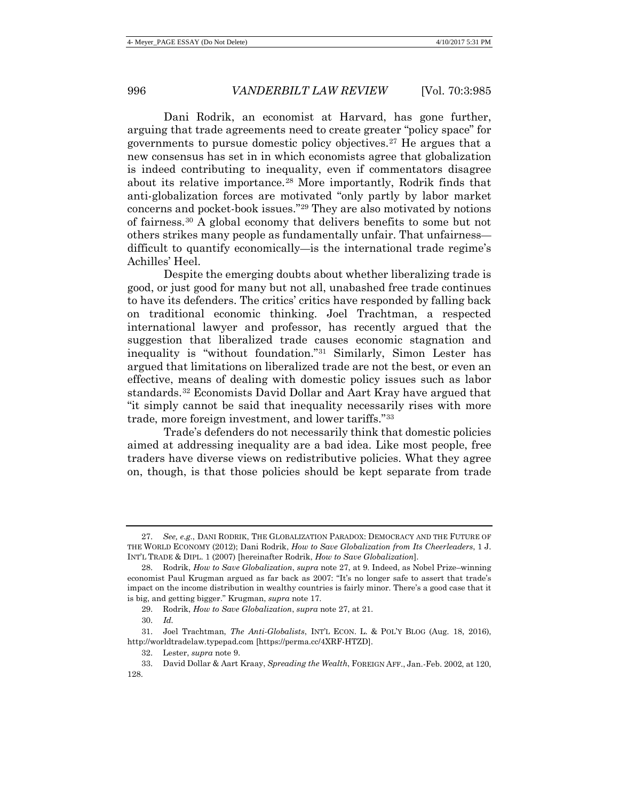<span id="page-11-0"></span>Dani Rodrik, an economist at Harvard, has gone further, arguing that trade agreements need to create greater "policy space" for governments to pursue domestic policy objectives.[27](#page-11-1) He argues that a new consensus has set in in which economists agree that globalization is indeed contributing to inequality, even if commentators disagree about its relative importance.[28](#page-11-2) More importantly, Rodrik finds that anti-globalization forces are motivated "only partly by labor market concerns and pocket-book issues."[29](#page-11-3) They are also motivated by notions of fairness.[30](#page-11-4) A global economy that delivers benefits to some but not others strikes many people as fundamentally unfair. That unfairness difficult to quantify economically*—*is the international trade regime's Achilles' Heel.

Despite the emerging doubts about whether liberalizing trade is good, or just good for many but not all, unabashed free trade continues to have its defenders. The critics' critics have responded by falling back on traditional economic thinking. Joel Trachtman, a respected international lawyer and professor, has recently argued that the suggestion that liberalized trade causes economic stagnation and inequality is "without foundation."[31](#page-11-5) Similarly, Simon Lester has argued that limitations on liberalized trade are not the best, or even an effective, means of dealing with domestic policy issues such as labor standards[.32](#page-11-6) Economists David Dollar and Aart Kray have argued that "it simply cannot be said that inequality necessarily rises with more trade, more foreign investment, and lower tariffs."[33](#page-11-7)

Trade's defenders do not necessarily think that domestic policies aimed at addressing inequality are a bad idea. Like most people, free traders have diverse views on redistributive policies. What they agree on, though, is that those policies should be kept separate from trade

<span id="page-11-1"></span><sup>27.</sup> *See, e.g.*, DANI RODRIK, THE GLOBALIZATION PARADOX: DEMOCRACY AND THE FUTURE OF THE WORLD ECONOMY (2012); Dani Rodrik, *How to Save Globalization from Its Cheerleaders*, 1 J. INT'L TRADE & DIPL. 1 (2007) [hereinafter Rodrik, *How to Save Globalization*].

<span id="page-11-2"></span><sup>28.</sup> Rodrik, *How to Save Globalization*, *supra* not[e 27,](#page-11-0) at 9. Indeed, as Nobel Prize–winning economist Paul Krugman argued as far back as 2007: "It's no longer safe to assert that trade's impact on the income distribution in wealthy countries is fairly minor. There's a good case that it is big, and getting bigger." Krugman, *supra* note [17.](#page-9-7)

<sup>29.</sup> Rodrik, *How to Save Globalization*, *supra* note [27,](#page-11-0) at 21.

<sup>30.</sup> *Id.* 

<span id="page-11-5"></span><span id="page-11-4"></span><span id="page-11-3"></span><sup>31.</sup> Joel Trachtman, *The Anti-Globalists*, INT'L ECON. L. & POL'Y BLOG (Aug. 18, 2016), http://worldtradelaw.typepad.com [https://perma.cc/4XRF-HTZD].

<sup>32.</sup> Lester, *supra* note [9.](#page-4-3)

<span id="page-11-7"></span><span id="page-11-6"></span><sup>33.</sup> David Dollar & Aart Kraay, *Spreading the Wealth*, FOREIGN AFF., Jan.-Feb. 2002, at 120, 128.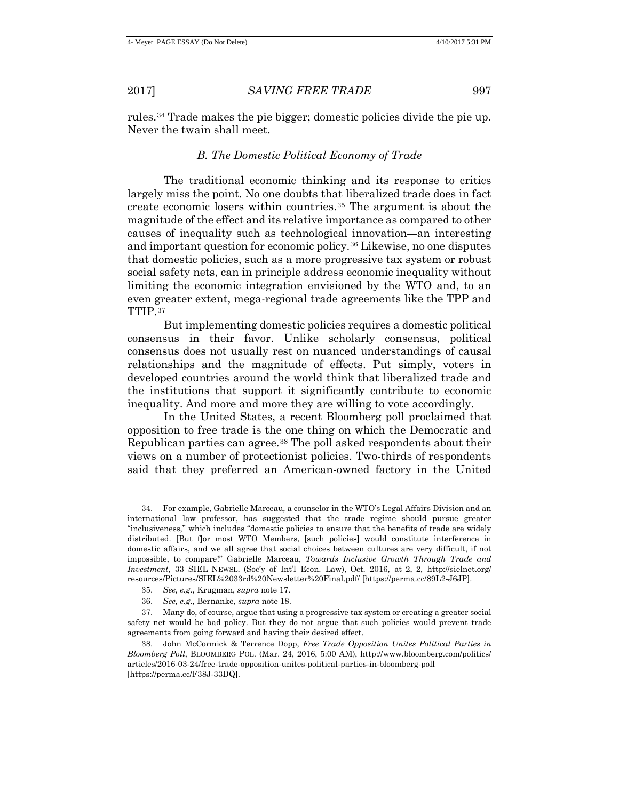<span id="page-12-5"></span>rules.[34](#page-12-0) Trade makes the pie bigger; domestic policies divide the pie up. Never the twain shall meet.

#### *B. The Domestic Political Economy of Trade*

The traditional economic thinking and its response to critics largely miss the point. No one doubts that liberalized trade does in fact create economic losers within countries.[35](#page-12-1) The argument is about the magnitude of the effect and its relative importance as compared to other causes of inequality such as technological innovation*—*an interesting and important question for economic policy[.36](#page-12-2) Likewise, no one disputes that domestic policies, such as a more progressive tax system or robust social safety nets, can in principle address economic inequality without limiting the economic integration envisioned by the WTO and, to an even greater extent, mega-regional trade agreements like the TPP and TTIP. [37](#page-12-3)

But implementing domestic policies requires a domestic political consensus in their favor. Unlike scholarly consensus, political consensus does not usually rest on nuanced understandings of causal relationships and the magnitude of effects. Put simply, voters in developed countries around the world think that liberalized trade and the institutions that support it significantly contribute to economic inequality. And more and more they are willing to vote accordingly.

In the United States, a recent Bloomberg poll proclaimed that opposition to free trade is the one thing on which the Democratic and Republican parties can agree.<sup>[38](#page-12-4)</sup> The poll asked respondents about their views on a number of protectionist policies. Two-thirds of respondents said that they preferred an American-owned factory in the United

36. *See, e.g.*, Bernanke, *supra* not[e 18.](#page-9-0)

<span id="page-12-0"></span><sup>34.</sup> For example, Gabrielle Marceau, a counselor in the WTO's Legal Affairs Division and an international law professor, has suggested that the trade regime should pursue greater "inclusiveness," which includes "domestic policies to ensure that the benefits of trade are widely distributed. [But f]or most WTO Members, [such policies] would constitute interference in domestic affairs, and we all agree that social choices between cultures are very difficult, if not impossible, to compare!" Gabrielle Marceau, *Towards Inclusive Growth Through Trade and Investment*, 33 SIEL NEWSL. (Soc'y of Int'l Econ. Law), Oct. 2016, at 2, 2, http://sielnet.org/ resources/Pictures/SIEL%2033rd%20Newsletter%20Final.pdf/ [https://perma.cc/89L2-J6JP].

<sup>35.</sup> *See, e.g.*, Krugman, *supra* not[e 17.](#page-9-7)

<span id="page-12-3"></span><span id="page-12-2"></span><span id="page-12-1"></span><sup>37.</sup> Many do, of course, argue that using a progressive tax system or creating a greater social safety net would be bad policy. But they do not argue that such policies would prevent trade agreements from going forward and having their desired effect.

<span id="page-12-4"></span><sup>38.</sup> John McCormick & Terrence Dopp, *Free Trade Opposition Unites Political Parties in Bloomberg Poll*, BLOOMBERG POL. (Mar. 24, 2016, 5:00 AM), http://www.bloomberg.com/politics/ articles/2016-03-24/free-trade-opposition-unites-political-parties-in-bloomberg-poll [https://perma.cc/F38J-33DQ].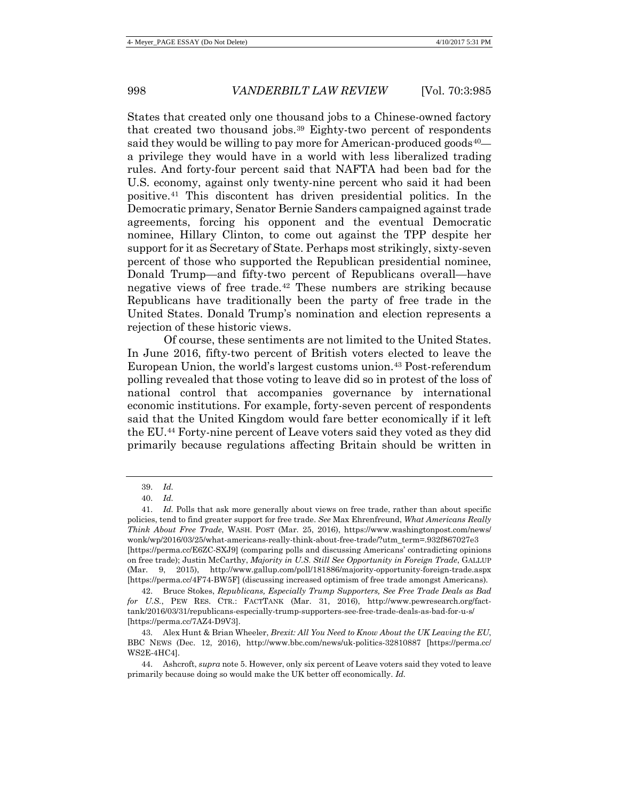States that created only one thousand jobs to a Chinese-owned factory that created two thousand jobs.[39](#page-13-0) Eighty-two percent of respondents said they would be willing to pay more for American-produced goods<sup>[40](#page-13-1)</sup> a privilege they would have in a world with less liberalized trading rules. And forty-four percent said that NAFTA had been bad for the U.S. economy, against only twenty-nine percent who said it had been positive.[41](#page-13-2) This discontent has driven presidential politics. In the Democratic primary, Senator Bernie Sanders campaigned against trade agreements, forcing his opponent and the eventual Democratic nominee, Hillary Clinton, to come out against the TPP despite her support for it as Secretary of State. Perhaps most strikingly, sixty-seven percent of those who supported the Republican presidential nominee, Donald Trump—and fifty-two percent of Republicans overall*—*have negative views of free trade.[42](#page-13-3) These numbers are striking because Republicans have traditionally been the party of free trade in the United States. Donald Trump's nomination and election represents a rejection of these historic views.

Of course, these sentiments are not limited to the United States. In June 2016, fifty-two percent of British voters elected to leave the European Union, the world's largest customs union.[43](#page-13-4) Post-referendum polling revealed that those voting to leave did so in protest of the loss of national control that accompanies governance by international economic institutions. For example, forty-seven percent of respondents said that the United Kingdom would fare better economically if it left the EU.[44](#page-13-5) Forty-nine percent of Leave voters said they voted as they did primarily because regulations affecting Britain should be written in

<sup>39.</sup> *Id.*

<sup>40.</sup> *Id.*

<span id="page-13-2"></span><span id="page-13-1"></span><span id="page-13-0"></span><sup>41.</sup> *Id.* Polls that ask more generally about views on free trade, rather than about specific policies, tend to find greater support for free trade. *See* Max Ehrenfreund, *What Americans Really Think About Free Trade*, WASH. POST (Mar. 25, 2016), https://www.washingtonpost.com/news/ wonk/wp/2016/03/25/what-americans-really-think-about-free-trade/?utm\_term=.932f867027e3 [https://perma.cc/E6ZC-SXJ9] (comparing polls and discussing Americans' contradicting opinions on free trade); Justin McCarthy, *Majority in U.S. Still See Opportunity in Foreign Trade*, GALLUP (Mar. 9, 2015), http://www.gallup.com/poll/181886/majority-opportunity-foreign-trade.aspx [https://perma.cc/4F74-BW5F] (discussing increased optimism of free trade amongst Americans).

<span id="page-13-3"></span><sup>42.</sup> Bruce Stokes, *Republicans, Especially Trump Supporters, See Free Trade Deals as Bad for U.S.*, PEW RES. CTR.: FACTTANK (Mar. 31, 2016), http://www.pewresearch.org/facttank/2016/03/31/republicans-especially-trump-supporters-see-free-trade-deals-as-bad-for-u-s/ [https://perma.cc/7AZ4-D9V3].

<span id="page-13-4"></span><sup>43.</sup> Alex Hunt & Brian Wheeler, *Brexit: All You Need to Know About the UK Leaving the EU*, BBC NEWS (Dec. 12, 2016), http://www.bbc.com/news/uk-politics-32810887 [https://perma.cc/ WS2E-4HC4].

<span id="page-13-5"></span><sup>44.</sup> Ashcroft, *supra* not[e 5.](#page-3-5) However, only six percent of Leave voters said they voted to leave primarily because doing so would make the UK better off economically. *Id.*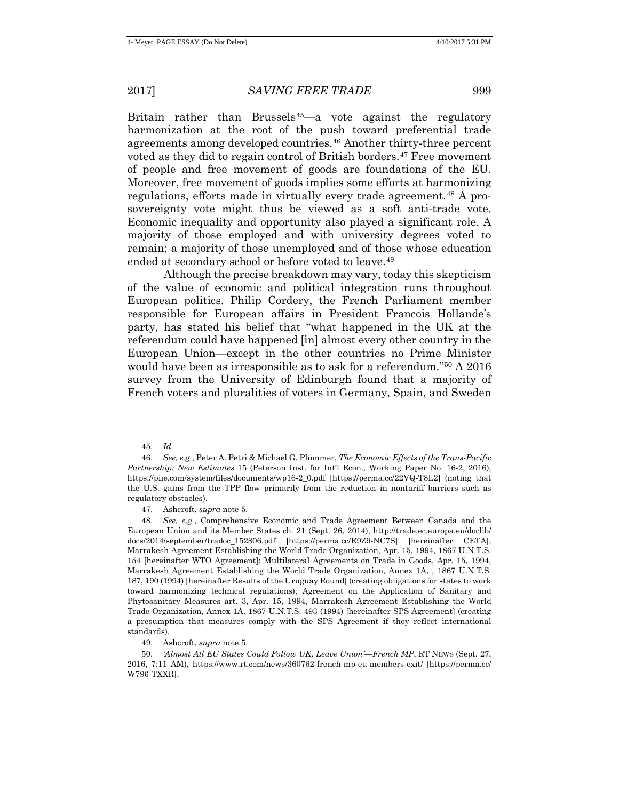<span id="page-14-6"></span>Britain rather than Brussels<sup>[45](#page-14-0)</sup>—a vote against the regulatory harmonization at the root of the push toward preferential trade agreements among developed countries.[46](#page-14-1) Another thirty-three percent voted as they did to regain control of British borders.[47](#page-14-2) Free movement of people and free movement of goods are foundations of the EU. Moreover, free movement of goods implies some efforts at harmonizing regulations, efforts made in virtually every trade agreement.[48](#page-14-3) A prosovereignty vote might thus be viewed as a soft anti-trade vote. Economic inequality and opportunity also played a significant role. A majority of those employed and with university degrees voted to remain; a majority of those unemployed and of those whose education ended at secondary school or before voted to leave.<sup>[49](#page-14-4)</sup>

Although the precise breakdown may vary, today this skepticism of the value of economic and political integration runs throughout European politics. Philip Cordery, the French Parliament member responsible for European affairs in President Francois Hollande's party, has stated his belief that "what happened in the UK at the referendum could have happened [in] almost every other country in the European Union*—*except in the other countries no Prime Minister would have been as irresponsible as to ask for a referendum."[50](#page-14-5) A 2016 survey from the University of Edinburgh found that a majority of French voters and pluralities of voters in Germany, Spain, and Sweden

<sup>45.</sup> *Id.*

<span id="page-14-1"></span><span id="page-14-0"></span><sup>46.</sup> *See, e.g.*, Peter A. Petri & Michael G. Plummer, *The Economic Effects of the Trans-Pacific Partnership: New Estimates* 15 (Peterson Inst. for Int'l Econ., Working Paper No. 16-2, 2016), https://piie.com/system/files/documents/wp16-2\_0.pdf [https://perma.cc/22VQ-T8L2] (noting that the U.S. gains from the TPP flow primarily from the reduction in nontariff barriers such as regulatory obstacles).

<sup>47.</sup> Ashcroft, *supra* not[e 5.](#page-3-5)

<span id="page-14-3"></span><span id="page-14-2"></span><sup>48.</sup> *See, e.g.*, Comprehensive Economic and Trade Agreement Between Canada and the European Union and its Member States ch. 21 (Sept. 26, 2014), http://trade.ec.europa.eu/doclib/ docs/2014/september/tradoc\_152806.pdf [https://perma.cc/E9Z9-NC7S] [hereinafter CETA]; Marrakesh Agreement Establishing the World Trade Organization, Apr. 15, 1994, 1867 U.N.T.S. 154 [hereinafter WTO Agreement]; Multilateral Agreements on Trade in Goods, Apr. 15, 1994, Marrakesh Agreement Establishing the World Trade Organization, Annex 1A, , 1867 U.N.T.S. 187, 190 (1994) [hereinafter Results of the Uruguay Round] (creating obligations for states to work toward harmonizing technical regulations); Agreement on the Application of Sanitary and Phytosanitary Measures art. 3, Apr. 15, 1994, Marrakesh Agreement Establishing the World Trade Organization, Annex 1A, 1867 U.N.T.S. 493 (1994) [hereinafter SPS Agreement] (creating a presumption that measures comply with the SPS Agreement if they reflect international standards).

<sup>49.</sup> Ashcroft, *supra* not[e 5.](#page-3-5)

<span id="page-14-5"></span><span id="page-14-4"></span><sup>50.</sup> *'Almost All EU States Could Follow UK, Leave Union'—French MP*, RT NEWS (Sept. 27, 2016, 7:11 AM), https://www.rt.com/news/360762-french-mp-eu-members-exit/ [https://perma.cc/ W796-TXXR].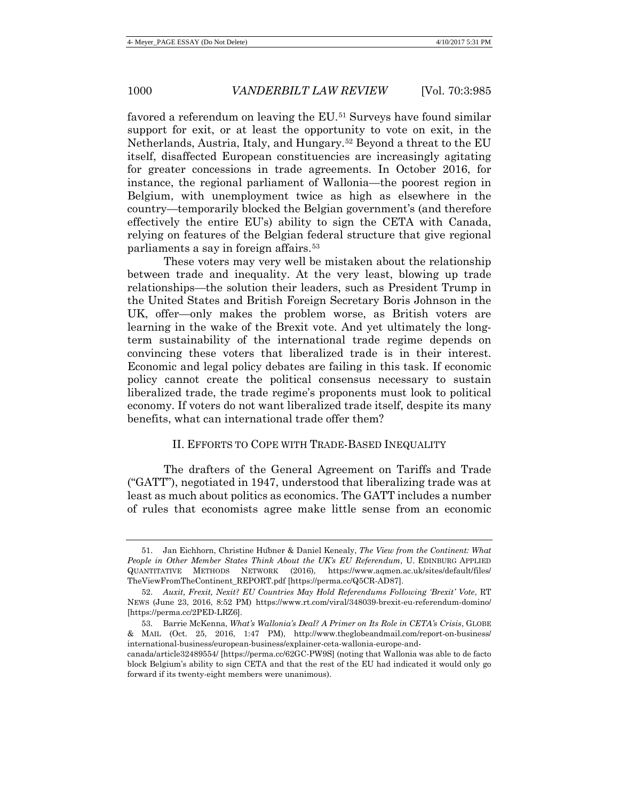favored a referendum on leaving the EU.<sup>[51](#page-15-0)</sup> Surveys have found similar support for exit, or at least the opportunity to vote on exit, in the Netherlands, Austria, Italy, and Hungary.[52](#page-15-1) Beyond a threat to the EU itself, disaffected European constituencies are increasingly agitating for greater concessions in trade agreements. In October 2016, for instance, the regional parliament of Wallonia*—*the poorest region in Belgium, with unemployment twice as high as elsewhere in the country*—*temporarily blocked the Belgian government's (and therefore effectively the entire EU's) ability to sign the CETA with Canada, relying on features of the Belgian federal structure that give regional parliaments a say in foreign affairs.[53](#page-15-2)

These voters may very well be mistaken about the relationship between trade and inequality. At the very least, blowing up trade relationships*—*the solution their leaders, such as President Trump in the United States and British Foreign Secretary Boris Johnson in the UK, offer*—*only makes the problem worse, as British voters are learning in the wake of the Brexit vote. And yet ultimately the longterm sustainability of the international trade regime depends on convincing these voters that liberalized trade is in their interest. Economic and legal policy debates are failing in this task. If economic policy cannot create the political consensus necessary to sustain liberalized trade, the trade regime's proponents must look to political economy. If voters do not want liberalized trade itself, despite its many benefits, what can international trade offer them?

#### II. EFFORTS TO COPE WITH TRADE-BASED INEQUALITY

The drafters of the General Agreement on Tariffs and Trade ("GATT"), negotiated in 1947, understood that liberalizing trade was at least as much about politics as economics. The GATT includes a number of rules that economists agree make little sense from an economic

<span id="page-15-0"></span><sup>51.</sup> Jan Eichhorn, Christine Hübner & Daniel Kenealy, *The View from the Continent: What People in Other Member States Think About the UK's EU Referendum*, U. EDINBURG APPLIED QUANTITATIVE METHODS NETWORK (2016), https://www.aqmen.ac.uk/sites/default/files/ TheViewFromTheContinent\_REPORT.pdf [https://perma.cc/Q5CR-AD87].

<span id="page-15-1"></span><sup>52.</sup> *Auxit, Frexit, Nexit? EU Countries May Hold Referendums Following 'Brexit' Vote*, RT NEWS (June 23, 2016, 8:52 PM) https://www.rt.com/viral/348039-brexit-eu-referendum-domino/ [https://perma.cc/2PED-LRZ6].

<span id="page-15-2"></span><sup>53.</sup> Barrie McKenna, *What's Wallonia's Deal? A Primer on Its Role in CETA's Crisis*, GLOBE & MAIL (Oct. 25, 2016, 1:47 PM), http://www.theglobeandmail.com/report-on-business/ international-business/european-business/explainer-ceta-wallonia-europe-and-

canada/article32489554/ [https://perma.cc/62GC-PW9S] (noting that Wallonia was able to de facto block Belgium's ability to sign CETA and that the rest of the EU had indicated it would only go forward if its twenty-eight members were unanimous).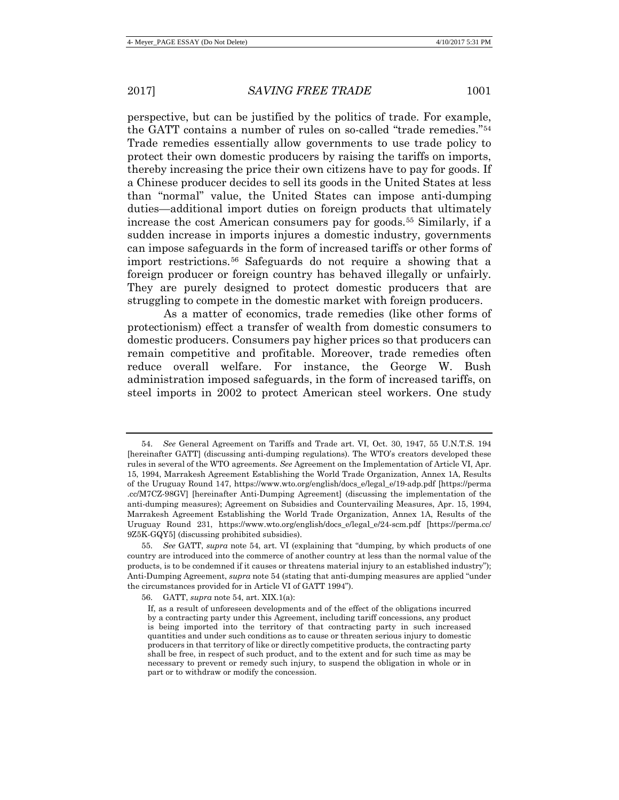<span id="page-16-0"></span>perspective, but can be justified by the politics of trade. For example, the GATT contains a number of rules on so-called "trade remedies."[54](#page-16-1) Trade remedies essentially allow governments to use trade policy to protect their own domestic producers by raising the tariffs on imports, thereby increasing the price their own citizens have to pay for goods. If a Chinese producer decides to sell its goods in the United States at less than "normal" value, the United States can impose anti-dumping duties*—*additional import duties on foreign products that ultimately increase the cost American consumers pay for goods.[55](#page-16-2) Similarly, if a sudden increase in imports injures a domestic industry, governments can impose safeguards in the form of increased tariffs or other forms of import restrictions.[56](#page-16-3) Safeguards do not require a showing that a foreign producer or foreign country has behaved illegally or unfairly. They are purely designed to protect domestic producers that are struggling to compete in the domestic market with foreign producers.

As a matter of economics, trade remedies (like other forms of protectionism) effect a transfer of wealth from domestic consumers to domestic producers. Consumers pay higher prices so that producers can remain competitive and profitable. Moreover, trade remedies often reduce overall welfare. For instance, the George W. Bush administration imposed safeguards, in the form of increased tariffs, on steel imports in 2002 to protect American steel workers. One study

<span id="page-16-1"></span><sup>54.</sup> *See* General Agreement on Tariffs and Trade art. VI, Oct. 30, 1947, 55 U.N.T.S. 194 [hereinafter GATT] (discussing anti-dumping regulations). The WTO's creators developed these rules in several of the WTO agreements. *See* Agreement on the Implementation of Article VI, Apr. 15, 1994, Marrakesh Agreement Establishing the World Trade Organization, Annex 1A, Results of the Uruguay Round 147, https://www.wto.org/english/docs\_e/legal\_e/19-adp.pdf [https://perma .cc/M7CZ-98GV] [hereinafter Anti-Dumping Agreement] (discussing the implementation of the anti-dumping measures); Agreement on Subsidies and Countervailing Measures, Apr. 15, 1994, Marrakesh Agreement Establishing the World Trade Organization, Annex 1A, Results of the Uruguay Round 231, https://www.wto.org/english/docs\_e/legal\_e/24-scm.pdf [https://perma.cc/ 9Z5K-GQY5] (discussing prohibited subsidies).

<span id="page-16-3"></span><span id="page-16-2"></span><sup>55.</sup> *See* GATT, *supra* note [54,](#page-16-0) art. VI (explaining that "dumping, by which products of one country are introduced into the commerce of another country at less than the normal value of the products, is to be condemned if it causes or threatens material injury to an established industry"); Anti-Dumping Agreement, *supra* note [54](#page-16-0) (stating that anti-dumping measures are applied "under the circumstances provided for in Article VI of GATT 1994").

<sup>56.</sup> GATT, *supra* note [54,](#page-16-0) art. XIX.1(a):

If, as a result of unforeseen developments and of the effect of the obligations incurred by a contracting party under this Agreement, including tariff concessions, any product is being imported into the territory of that contracting party in such increased quantities and under such conditions as to cause or threaten serious injury to domestic producers in that territory of like or directly competitive products, the contracting party shall be free, in respect of such product, and to the extent and for such time as may be necessary to prevent or remedy such injury, to suspend the obligation in whole or in part or to withdraw or modify the concession.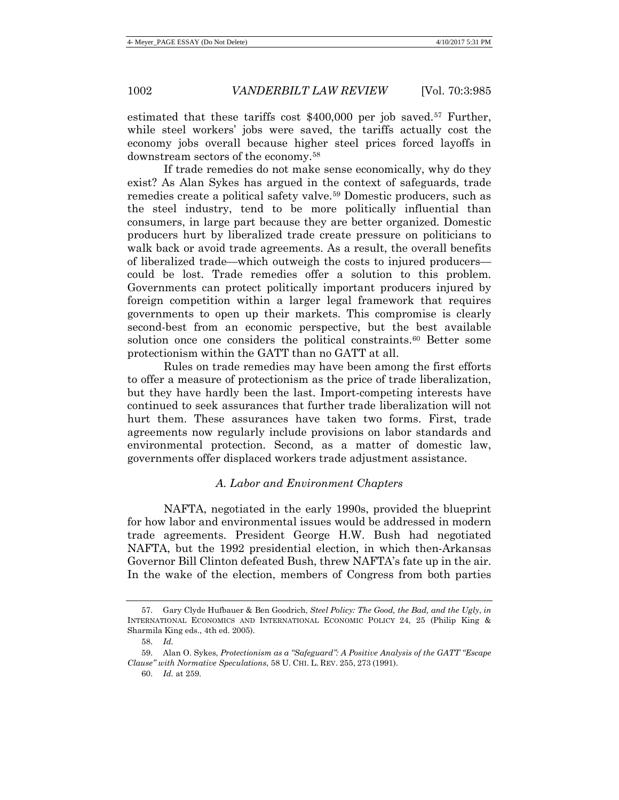estimated that these tariffs cost  $$400,000$  per job saved.<sup>[57](#page-17-0)</sup> Further, while steel workers' jobs were saved, the tariffs actually cost the economy jobs overall because higher steel prices forced layoffs in downstream sectors of the economy.[58](#page-17-1)

If trade remedies do not make sense economically, why do they exist? As Alan Sykes has argued in the context of safeguards, trade remedies create a political safety valve.[59](#page-17-2) Domestic producers, such as the steel industry, tend to be more politically influential than consumers, in large part because they are better organized. Domestic producers hurt by liberalized trade create pressure on politicians to walk back or avoid trade agreements. As a result, the overall benefits of liberalized trade*—*which outweigh the costs to injured producers could be lost. Trade remedies offer a solution to this problem. Governments can protect politically important producers injured by foreign competition within a larger legal framework that requires governments to open up their markets. This compromise is clearly second-best from an economic perspective, but the best available solution once one considers the political constraints.<sup>[60](#page-17-3)</sup> Better some protectionism within the GATT than no GATT at all.

Rules on trade remedies may have been among the first efforts to offer a measure of protectionism as the price of trade liberalization, but they have hardly been the last. Import-competing interests have continued to seek assurances that further trade liberalization will not hurt them. These assurances have taken two forms. First, trade agreements now regularly include provisions on labor standards and environmental protection. Second, as a matter of domestic law, governments offer displaced workers trade adjustment assistance.

#### *A. Labor and Environment Chapters*

NAFTA, negotiated in the early 1990s, provided the blueprint for how labor and environmental issues would be addressed in modern trade agreements. President George H.W. Bush had negotiated NAFTA, but the 1992 presidential election, in which then-Arkansas Governor Bill Clinton defeated Bush, threw NAFTA's fate up in the air. In the wake of the election, members of Congress from both parties

<span id="page-17-0"></span><sup>57.</sup> Gary Clyde Hufbauer & Ben Goodrich, *Steel Policy: The Good, the Bad, and the Ugly*, *in* INTERNATIONAL ECONOMICS AND INTERNATIONAL ECONOMIC POLICY 24, 25 (Philip King & Sharmila King eds., 4th ed. 2005).

<sup>58.</sup> *Id.*

<span id="page-17-3"></span><span id="page-17-2"></span><span id="page-17-1"></span><sup>59.</sup> Alan O. Sykes, *Protectionism as a "Safeguard": A Positive Analysis of the GATT "Escape Clause" with Normative Speculations*, 58 U. CHI. L. REV. 255, 273 (1991).

<sup>60.</sup> *Id.* at 259.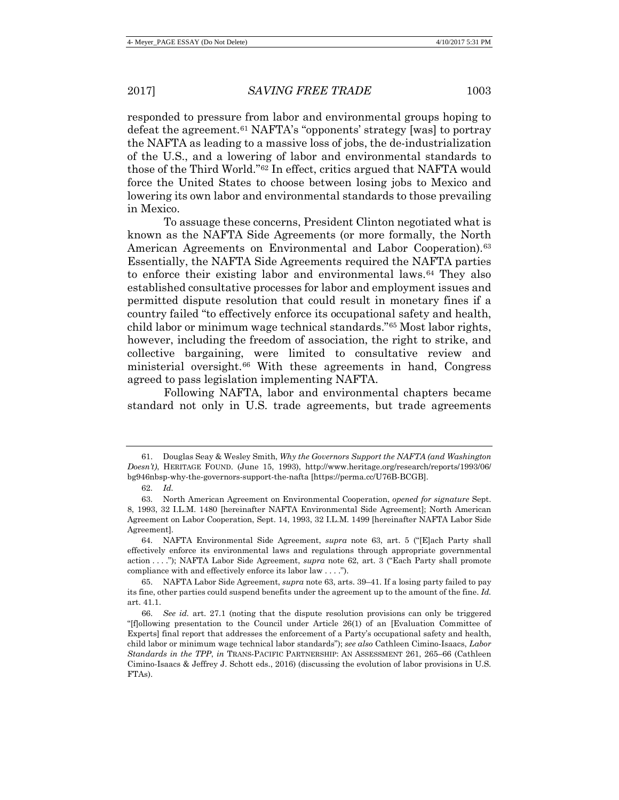responded to pressure from labor and environmental groups hoping to defeat the agreement.[61](#page-18-1) NAFTA's "opponents' strategy [was] to portray the NAFTA as leading to a massive loss of jobs, the de-industrialization of the U.S., and a lowering of labor and environmental standards to those of the Third World."[62](#page-18-2) In effect, critics argued that NAFTA would force the United States to choose between losing jobs to Mexico and lowering its own labor and environmental standards to those prevailing in Mexico.

<span id="page-18-0"></span>To assuage these concerns, President Clinton negotiated what is known as the NAFTA Side Agreements (or more formally, the North American Agreements on Environmental and Labor Cooperation).<sup>[63](#page-18-3)</sup> Essentially, the NAFTA Side Agreements required the NAFTA parties to enforce their existing labor and environmental laws.[64](#page-18-4) They also established consultative processes for labor and employment issues and permitted dispute resolution that could result in monetary fines if a country failed "to effectively enforce its occupational safety and health, child labor or minimum wage technical standards."[65](#page-18-5) Most labor rights, however, including the freedom of association, the right to strike, and collective bargaining, were limited to consultative review and ministerial oversight.[66](#page-18-6) With these agreements in hand, Congress agreed to pass legislation implementing NAFTA.

<span id="page-18-7"></span>Following NAFTA, labor and environmental chapters became standard not only in U.S. trade agreements, but trade agreements

<span id="page-18-1"></span><sup>61.</sup> Douglas Seay & Wesley Smith, *Why the Governors Support the NAFTA (and Washington Doesn't)*, HERITAGE FOUND. (June 15, 1993), http://www.heritage.org/research/reports/1993/06/ bg946nbsp-why-the-governors-support-the-nafta [https://perma.cc/U76B-BCGB].

<sup>62.</sup> *Id.*

<span id="page-18-3"></span><span id="page-18-2"></span><sup>63.</sup> North American Agreement on Environmental Cooperation, *opened for signature* Sept. 8, 1993, 32 I.L.M. 1480 [hereinafter NAFTA Environmental Side Agreement]; North American Agreement on Labor Cooperation, Sept. 14, 1993, 32 I.L.M. 1499 [hereinafter NAFTA Labor Side Agreement].

<span id="page-18-4"></span><sup>64.</sup> NAFTA Environmental Side Agreement, *supra* note [63,](#page-18-0) art. 5 ("[E]ach Party shall effectively enforce its environmental laws and regulations through appropriate governmental action . . . ."); NAFTA Labor Side Agreement, *supra* note 62, art. 3 ("Each Party shall promote compliance with and effectively enforce its labor law . . . .").

<span id="page-18-5"></span><sup>65.</sup> NAFTA Labor Side Agreement, *supra* note [63,](#page-18-0) arts. 39–41. If a losing party failed to pay its fine, other parties could suspend benefits under the agreement up to the amount of the fine. *Id.* art. 41.1.

<span id="page-18-6"></span><sup>66.</sup> *See id.* art. 27.1 (noting that the dispute resolution provisions can only be triggered "[f]ollowing presentation to the Council under Article 26(1) of an [Evaluation Committee of Experts] final report that addresses the enforcement of a Party's occupational safety and health, child labor or minimum wage technical labor standards"); *see also* Cathleen Cimino-Isaacs, *Labor Standards in the TPP*, *in* TRANS-PACIFIC PARTNERSHIP: AN ASSESSMENT 261, 265–66 (Cathleen Cimino-Isaacs & Jeffrey J. Schott eds., 2016) (discussing the evolution of labor provisions in U.S. FTAs).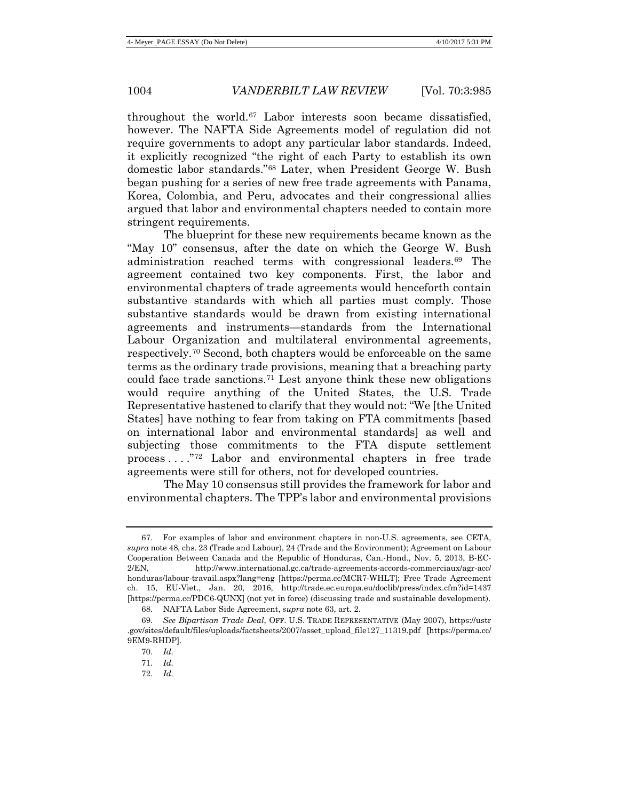throughout the world.[67](#page-19-0) Labor interests soon became dissatisfied, however. The NAFTA Side Agreements model of regulation did not require governments to adopt any particular labor standards. Indeed, it explicitly recognized "the right of each Party to establish its own domestic labor standards."[68](#page-19-1) Later, when President George W. Bush began pushing for a series of new free trade agreements with Panama, Korea, Colombia, and Peru, advocates and their congressional allies argued that labor and environmental chapters needed to contain more stringent requirements.

<span id="page-19-6"></span>The blueprint for these new requirements became known as the "May 10" consensus, after the date on which the George W. Bush administration reached terms with congressional leaders.[69](#page-19-2) The agreement contained two key components. First, the labor and environmental chapters of trade agreements would henceforth contain substantive standards with which all parties must comply. Those substantive standards would be drawn from existing international agreements and instruments—standards from the International Labour Organization and multilateral environmental agreements, respectively.[70](#page-19-3) Second, both chapters would be enforceable on the same terms as the ordinary trade provisions, meaning that a breaching party could face trade sanctions.[71](#page-19-4) Lest anyone think these new obligations would require anything of the United States, the U.S. Trade Representative hastened to clarify that they would not: "We [the United States] have nothing to fear from taking on FTA commitments [based on international labor and environmental standards] as well and subjecting those commitments to the FTA dispute settlement process . . . .["72](#page-19-5) Labor and environmental chapters in free trade agreements were still for others, not for developed countries.

The May 10 consensus still provides the framework for labor and environmental chapters. The TPP's labor and environmental provisions

<span id="page-19-0"></span><sup>67.</sup> For examples of labor and environment chapters in non-U.S. agreements, see CETA, *supra* not[e 48,](#page-14-6) chs. 23 (Trade and Labour), 24 (Trade and the Environment); Agreement on Labour Cooperation Between Canada and the Republic of Honduras, Can.-Hond., Nov. 5, 2013, B-EC-2/EN, http://www.international.gc.ca/trade-agreements-accords-commerciaux/agr-acc/ honduras/labour-travail.aspx?lang=eng [https://perma.cc/MCR7-WHLT]; Free Trade Agreement ch. 15, EU-Viet., Jan. 20, 2016, http://trade.ec.europa.eu/doclib/press/index.cfm?id=1437 [https://perma.cc/PDC6-QUNX] (not yet in force) (discussing trade and sustainable development).

<sup>68.</sup> NAFTA Labor Side Agreement, *supra* not[e 63,](#page-18-0) art. 2.

<span id="page-19-5"></span><span id="page-19-4"></span><span id="page-19-3"></span><span id="page-19-2"></span><span id="page-19-1"></span><sup>69.</sup> *See Bipartisan Trade Deal*, OFF. U.S. TRADE REPRESENTATIVE (May 2007), https://ustr .gov/sites/default/files/uploads/factsheets/2007/asset\_upload\_file127\_11319.pdf [https://perma.cc/ 9EM9-RHDP].

<sup>70.</sup> *Id.*

<sup>71.</sup> *Id.*

<sup>72.</sup> *Id.*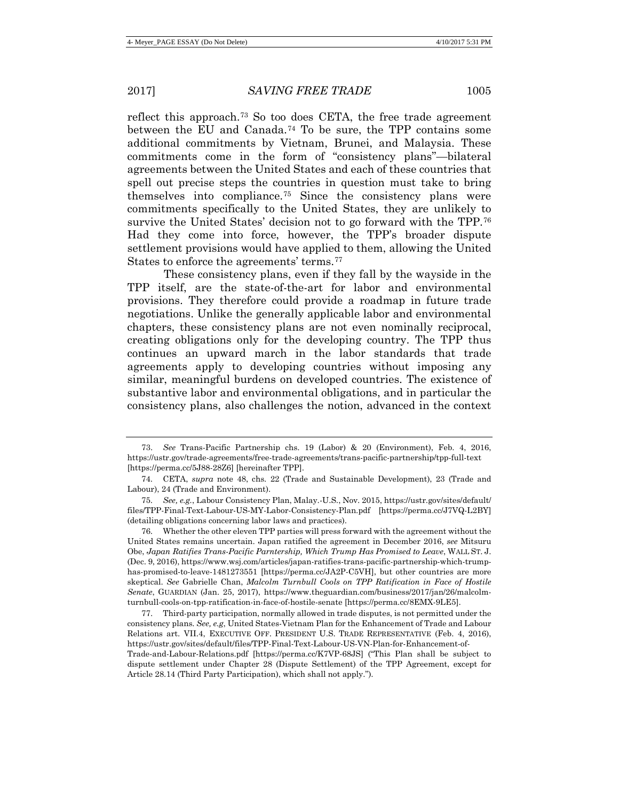<span id="page-20-5"></span>reflect this approach.[73](#page-20-0) So too does CETA, the free trade agreement between the EU and Canada.[74](#page-20-1) To be sure, the TPP contains some additional commitments by Vietnam, Brunei, and Malaysia. These commitments come in the form of "consistency plans"*—*bilateral agreements between the United States and each of these countries that spell out precise steps the countries in question must take to bring themselves into compliance.[75](#page-20-2) Since the consistency plans were commitments specifically to the United States, they are unlikely to survive the United States' decision not to go forward with the TPP.[76](#page-20-3) Had they come into force, however, the TPP's broader dispute settlement provisions would have applied to them, allowing the United States to enforce the agreements' terms.<sup>[77](#page-20-4)</sup>

These consistency plans, even if they fall by the wayside in the TPP itself, are the state-of-the-art for labor and environmental provisions. They therefore could provide a roadmap in future trade negotiations. Unlike the generally applicable labor and environmental chapters, these consistency plans are not even nominally reciprocal, creating obligations only for the developing country. The TPP thus continues an upward march in the labor standards that trade agreements apply to developing countries without imposing any similar, meaningful burdens on developed countries. The existence of substantive labor and environmental obligations, and in particular the consistency plans, also challenges the notion, advanced in the context

<span id="page-20-3"></span>76. Whether the other eleven TPP parties will press forward with the agreement without the United States remains uncertain. Japan ratified the agreement in December 2016, *see* Mitsuru Obe, *Japan Ratifies Trans-Pacific Parntership, Which Trump Has Promised to Leave*, WALL ST. J. (Dec. 9, 2016), https://www.wsj.com/articles/japan-ratifies-trans-pacific-partnership-which-trumphas-promised-to-leave-1481273551 [https://perma.cc/JA2P-C5VH], but other countries are more skeptical. *See* Gabrielle Chan, *Malcolm Turnbull Cools on TPP Ratification in Face of Hostile Senate*, GUARDIAN (Jan. 25, 2017), https://www.theguardian.com/business/2017/jan/26/malcolmturnbull-cools-on-tpp-ratification-in-face-of-hostile-senate [https://perma.cc/8EMX-9LE5].

<span id="page-20-4"></span>77. Third-party participation, normally allowed in trade disputes, is not permitted under the consistency plans. *See, e.g*, United States-Vietnam Plan for the Enhancement of Trade and Labour Relations art. VII.4, EXECUTIVE OFF. PRESIDENT U.S. TRADE REPRESENTATIVE (Feb. 4, 2016), https://ustr.gov/sites/default/files/TPP-Final-Text-Labour-US-VN-Plan-for-Enhancement-of-

Trade-and-Labour-Relations.pdf [https://perma.cc/K7VP-68JS] ("This Plan shall be subject to dispute settlement under Chapter 28 (Dispute Settlement) of the TPP Agreement, except for Article 28.14 (Third Party Participation), which shall not apply.").

<span id="page-20-0"></span><sup>73.</sup> *See* Trans-Pacific Partnership chs. 19 (Labor) & 20 (Environment), Feb. 4, 2016, https://ustr.gov/trade-agreements/free-trade-agreements/trans-pacific-partnership/tpp-full-text [https://perma.cc/5J88-28Z6] [hereinafter TPP].

<span id="page-20-1"></span><sup>74.</sup> CETA, *supra* note [48,](#page-14-6) chs. 22 (Trade and Sustainable Development), 23 (Trade and Labour), 24 (Trade and Environment).

<span id="page-20-2"></span><sup>75.</sup> *See, e.g.*, Labour Consistency Plan, Malay.-U.S., Nov. 2015, https://ustr.gov/sites/default/ files/TPP-Final-Text-Labour-US-MY-Labor-Consistency-Plan.pdf [https://perma.cc/J7VQ-L2BY] (detailing obligations concerning labor laws and practices).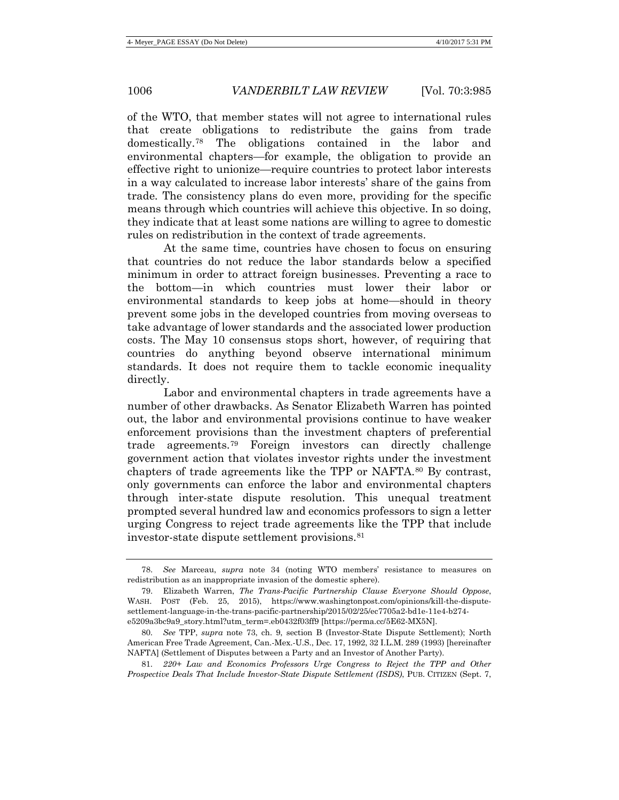of the WTO, that member states will not agree to international rules that create obligations to redistribute the gains from trade domestically.[78](#page-21-0) The obligations contained in the labor and environmental chapters*—*for example, the obligation to provide an effective right to unionize*—*require countries to protect labor interests in a way calculated to increase labor interests' share of the gains from trade. The consistency plans do even more, providing for the specific means through which countries will achieve this objective. In so doing, they indicate that at least some nations are willing to agree to domestic rules on redistribution in the context of trade agreements.

At the same time, countries have chosen to focus on ensuring that countries do not reduce the labor standards below a specified minimum in order to attract foreign businesses. Preventing a race to the bottom*—*in which countries must lower their labor or environmental standards to keep jobs at home*—*should in theory prevent some jobs in the developed countries from moving overseas to take advantage of lower standards and the associated lower production costs. The May 10 consensus stops short, however, of requiring that countries do anything beyond observe international minimum standards. It does not require them to tackle economic inequality directly.

Labor and environmental chapters in trade agreements have a number of other drawbacks. As Senator Elizabeth Warren has pointed out, the labor and environmental provisions continue to have weaker enforcement provisions than the investment chapters of preferential trade agreements.[79](#page-21-1) Foreign investors can directly challenge government action that violates investor rights under the investment chapters of trade agreements like the TPP or NAFTA.[80](#page-21-2) By contrast, only governments can enforce the labor and environmental chapters through inter-state dispute resolution. This unequal treatment prompted several hundred law and economics professors to sign a letter urging Congress to reject trade agreements like the TPP that include investor-state dispute settlement provisions.[81](#page-21-3)

<span id="page-21-0"></span><sup>78.</sup> *See* Marceau, *supra* note [34](#page-12-5) (noting WTO members' resistance to measures on redistribution as an inappropriate invasion of the domestic sphere).

<span id="page-21-1"></span><sup>79.</sup> Elizabeth Warren, *The Trans-Pacific Partnership Clause Everyone Should Oppose*, WASH. POST (Feb. 25, 2015), https://www.washingtonpost.com/opinions/kill-the-disputesettlement-language-in-the-trans-pacific-partnership/2015/02/25/ec7705a2-bd1e-11e4-b274 e5209a3bc9a9\_story.html?utm\_term=.eb0432f03ff9 [https://perma.cc/5E62-MX5N].

<span id="page-21-2"></span><sup>80.</sup> *See* TPP, *supra* note [73,](#page-20-5) ch. 9, section B (Investor-State Dispute Settlement); North American Free Trade Agreement, Can.-Mex.-U.S., Dec. 17, 1992, 32 I.L.M. 289 (1993) [hereinafter NAFTA] (Settlement of Disputes between a Party and an Investor of Another Party).

<span id="page-21-3"></span><sup>81.</sup> *220+ Law and Economics Professors Urge Congress to Reject the TPP and Other Prospective Deals That Include Investor-State Dispute Settlement (ISDS)*, PUB. CITIZEN (Sept. 7,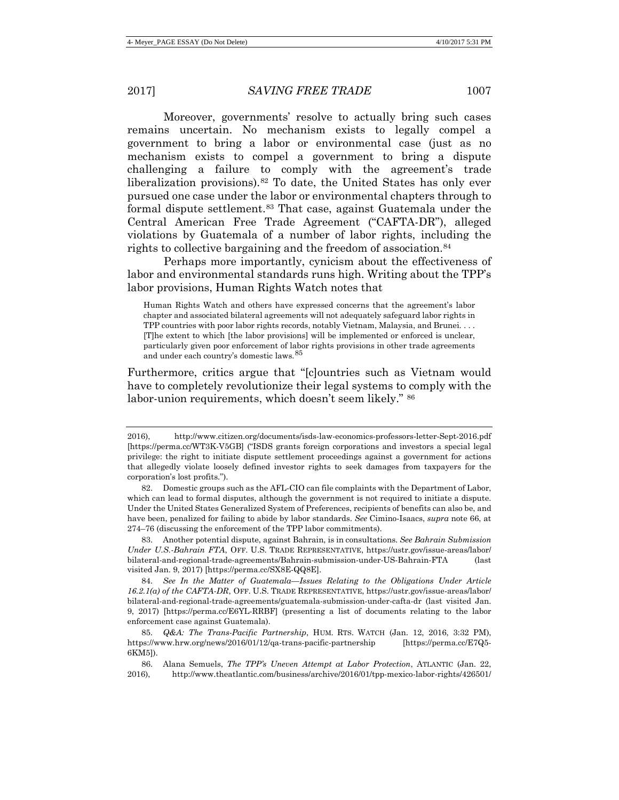Moreover, governments' resolve to actually bring such cases remains uncertain. No mechanism exists to legally compel a government to bring a labor or environmental case (just as no mechanism exists to compel a government to bring a dispute challenging a failure to comply with the agreement's trade liberalization provisions).[82](#page-22-0) To date, the United States has only ever pursued one case under the labor or environmental chapters through to formal dispute settlement.<sup>[83](#page-22-1)</sup> That case, against Guatemala under the Central American Free Trade Agreement ("CAFTA-DR"), alleged violations by Guatemala of a number of labor rights, including the rights to collective bargaining and the freedom of association.[84](#page-22-2)

Perhaps more importantly, cynicism about the effectiveness of labor and environmental standards runs high. Writing about the TPP's labor provisions, Human Rights Watch notes that

Human Rights Watch and others have expressed concerns that the agreement's labor chapter and associated bilateral agreements will not adequately safeguard labor rights in TPP countries with poor labor rights records, notably Vietnam, Malaysia, and Brunei. . . . [T]he extent to which [the labor provisions] will be implemented or enforced is unclear, particularly given poor enforcement of labor rights provisions in other trade agreements and under each country's domestic laws.[85](#page-22-3)

Furthermore, critics argue that "[c]ountries such as Vietnam would have to completely revolutionize their legal systems to comply with the labor-union requirements, which doesn't seem likely." [86](#page-22-4)

<sup>2016),</sup> http://www.citizen.org/documents/isds-law-economics-professors-letter-Sept-2016.pdf [https://perma.cc/WT3K-V5GB] ("ISDS grants foreign corporations and investors a special legal privilege: the right to initiate dispute settlement proceedings against a government for actions that allegedly violate loosely defined investor rights to seek damages from taxpayers for the corporation's lost profits.").

<span id="page-22-0"></span><sup>82.</sup> Domestic groups such as the AFL-CIO can file complaints with the Department of Labor, which can lead to formal disputes, although the government is not required to initiate a dispute. Under the United States Generalized System of Preferences, recipients of benefits can also be, and have been, penalized for failing to abide by labor standards. *See* Cimino-Isaacs, *supra* note [66,](#page-18-7) at 274–76 (discussing the enforcement of the TPP labor commitments).

<span id="page-22-1"></span><sup>83.</sup> Another potential dispute, against Bahrain, is in consultations. *See Bahrain Submission Under U.S.-Bahrain FTA*, OFF. U.S. TRADE REPRESENTATIVE, https://ustr.gov/issue-areas/labor/ bilateral-and-regional-trade-agreements/Bahrain-submission-under-US-Bahrain-FTA (last visited Jan. 9, 2017) [https://perma.cc/SX8E-QQ8E].

<span id="page-22-2"></span><sup>84.</sup> *See In the Matter of Guatemala—Issues Relating to the Obligations Under Article 16.2.1(a) of the CAFTA-DR*, OFF. U.S. TRADE REPRESENTATIVE, https://ustr.gov/issue-areas/labor/ bilateral-and-regional-trade-agreements/guatemala-submission-under-cafta-dr (last visited Jan. 9, 2017) [https://perma.cc/E6YL-RRBF] (presenting a list of documents relating to the labor enforcement case against Guatemala).

<span id="page-22-3"></span><sup>85.</sup> *Q&A: The Trans-Pacific Partnership*, HUM. RTS. WATCH (Jan. 12, 2016, 3:32 PM), https://www.hrw.org/news/2016/01/12/qa-trans-pacific-partnership [https://perma.cc/E7Q5- 6KM5]).

<span id="page-22-4"></span><sup>86.</sup> Alana Semuels, *The TPP's Uneven Attempt at Labor Protection*, ATLANTIC (Jan. 22, 2016), http://www.theatlantic.com/business/archive/2016/01/tpp-mexico-labor-rights/426501/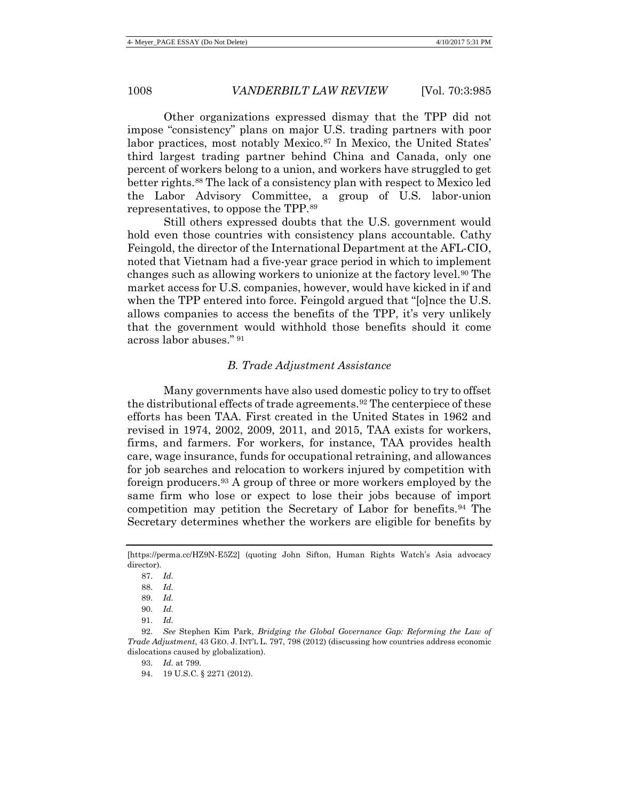Other organizations expressed dismay that the TPP did not impose "consistency" plans on major U.S. trading partners with poor labor practices, most notably Mexico.<sup>[87](#page-23-0)</sup> In Mexico, the United States' third largest trading partner behind China and Canada, only one percent of workers belong to a union, and workers have struggled to get better rights.[88](#page-23-1) The lack of a consistency plan with respect to Mexico led the Labor Advisory Committee, a group of U.S. labor-union representatives, to oppose the TPP[.89](#page-23-2)

Still others expressed doubts that the U.S. government would hold even those countries with consistency plans accountable. Cathy Feingold, the director of the International Department at the AFL-CIO, noted that Vietnam had a five-year grace period in which to implement changes such as allowing workers to unionize at the factory level.[90](#page-23-3) The market access for U.S. companies, however, would have kicked in if and when the TPP entered into force. Feingold argued that "[o]nce the U.S. allows companies to access the benefits of the TPP, it's very unlikely that the government would withhold those benefits should it come across labor abuses." [91](#page-23-4)

#### <span id="page-23-8"></span>*B. Trade Adjustment Assistance*

Many governments have also used domestic policy to try to offset the distributional effects of trade agreements.<sup>[92](#page-23-5)</sup> The centerpiece of these efforts has been TAA. First created in the United States in 1962 and revised in 1974, 2002, 2009, 2011, and 2015, TAA exists for workers, firms, and farmers. For workers, for instance, TAA provides health care, wage insurance, funds for occupational retraining, and allowances for job searches and relocation to workers injured by competition with foreign producers.[93](#page-23-6) A group of three or more workers employed by the same firm who lose or expect to lose their jobs because of import competition may petition the Secretary of Labor for benefits.[94](#page-23-7) The Secretary determines whether the workers are eligible for benefits by

<span id="page-23-1"></span><span id="page-23-0"></span><sup>[</sup>https://perma.cc/HZ9N-E5Z2] (quoting John Sifton, Human Rights Watch's Asia advocacy director).

<sup>87.</sup> *Id.*

<sup>88.</sup> *Id.*

<sup>89.</sup> *Id.*

<sup>90.</sup> *Id.*

<sup>91.</sup> *Id.*

<span id="page-23-7"></span><span id="page-23-6"></span><span id="page-23-5"></span><span id="page-23-4"></span><span id="page-23-3"></span><span id="page-23-2"></span><sup>92.</sup> *See* Stephen Kim Park, *Bridging the Global Governance Gap: Reforming the Law of Trade Adjustment*, 43 GEO. J. INT'L L. 797, 798 (2012) (discussing how countries address economic dislocations caused by globalization).

<sup>93.</sup> *Id.* at 799.

<sup>94.</sup> 19 U.S.C. § 2271 (2012).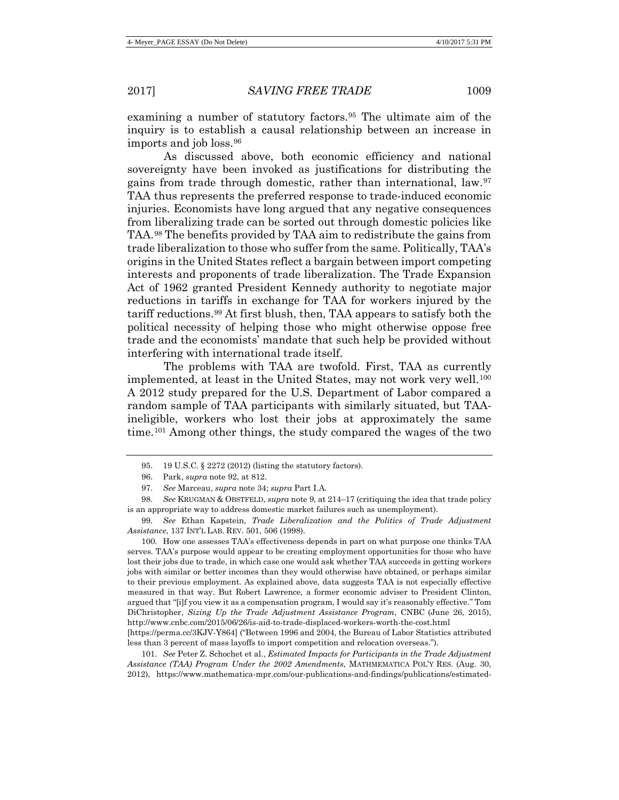examining a number of statutory factors.[95](#page-24-0) The ultimate aim of the inquiry is to establish a causal relationship between an increase in imports and job loss.[96](#page-24-1)

As discussed above, both economic efficiency and national sovereignty have been invoked as justifications for distributing the gains from trade through domestic, rather than international, law.[97](#page-24-2) TAA thus represents the preferred response to trade-induced economic injuries. Economists have long argued that any negative consequences from liberalizing trade can be sorted out through domestic policies like TAA.[98](#page-24-3) The benefits provided by TAA aim to redistribute the gains from trade liberalization to those who suffer from the same. Politically, TAA's origins in the United States reflect a bargain between import competing interests and proponents of trade liberalization. The Trade Expansion Act of 1962 granted President Kennedy authority to negotiate major reductions in tariffs in exchange for TAA for workers injured by the tariff reductions.[99](#page-24-4) At first blush, then, TAA appears to satisfy both the political necessity of helping those who might otherwise oppose free trade and the economists' mandate that such help be provided without interfering with international trade itself.

The problems with TAA are twofold. First, TAA as currently implemented, at least in the United States, may not work very well.<sup>[100](#page-24-5)</sup> A 2012 study prepared for the U.S. Department of Labor compared a random sample of TAA participants with similarly situated, but TAAineligible, workers who lost their jobs at approximately the same time.[101](#page-24-6) Among other things, the study compared the wages of the two

<span id="page-24-5"></span>100. How one assesses TAA's effectiveness depends in part on what purpose one thinks TAA serves. TAA's purpose would appear to be creating employment opportunities for those who have lost their jobs due to trade, in which case one would ask whether TAA succeeds in getting workers jobs with similar or better incomes than they would otherwise have obtained, or perhaps similar to their previous employment. As explained above, data suggests TAA is not especially effective measured in that way. But Robert Lawrence, a former economic adviser to President Clinton, argued that "[i]f you view it as a compensation program, I would say it's reasonably effective." Tom DiChristopher, *Sizing Up the Trade Adjustment Assistance Program*, CNBC (June 26, 2015), http://www.cnbc.com/2015/06/26/is-aid-to-trade-displaced-workers-worth-the-cost.html [https://perma.cc/3KJV-Y864] ("Between 1996 and 2004, the Bureau of Labor Statistics attributed

less than 3 percent of mass layoffs to import competition and relocation overseas.").

<span id="page-24-6"></span>101. *See* Peter Z. Schochet et al., *Estimated Impacts for Participants in the Trade Adjustment Assistance (TAA) Program Under the 2002 Amendments*, MATHMEMATICA POL'Y RES. (Aug. 30, 2012), https://www.mathematica-mpr.com/our-publications-and-findings/publications/estimated-

<span id="page-24-7"></span><sup>95.</sup> 19 U.S.C. § 2272 (2012) (listing the statutory factors).

<sup>96.</sup> Park, *supra* not[e 92,](#page-23-8) at 812.

<sup>97.</sup> *See* Marceau, *supra* not[e 34;](#page-12-5) *supra* Part I.A.

<span id="page-24-3"></span><span id="page-24-2"></span><span id="page-24-1"></span><span id="page-24-0"></span><sup>98.</sup> *See* KRUGMAN & OBSTFELD, *supra* not[e 9,](#page-4-3) at 214–17 (critiquing the idea that trade policy is an appropriate way to address domestic market failures such as unemployment).

<span id="page-24-4"></span><sup>99.</sup> *See* Ethan Kapstein, *Trade Liberalization and the Politics of Trade Adjustment Assistance*, 137 INT'L LAB. REV. 501, 506 (1998).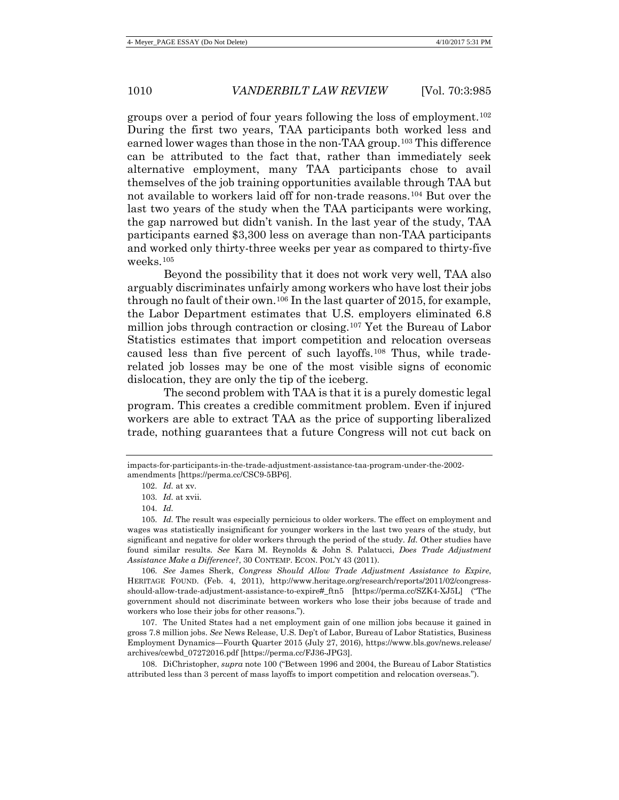groups over a period of four years following the loss of employment.[102](#page-25-0) During the first two years, TAA participants both worked less and earned lower wages than those in the non-TAA group.[103](#page-25-1) This difference can be attributed to the fact that, rather than immediately seek alternative employment, many TAA participants chose to avail themselves of the job training opportunities available through TAA but not available to workers laid off for non-trade reasons.[104](#page-25-2) But over the last two years of the study when the TAA participants were working, the gap narrowed but didn't vanish. In the last year of the study, TAA participants earned \$3,300 less on average than non-TAA participants and worked only thirty-three weeks per year as compared to thirty-five weeks.[105](#page-25-3)

Beyond the possibility that it does not work very well, TAA also arguably discriminates unfairly among workers who have lost their jobs through no fault of their own.[106](#page-25-4) In the last quarter of 2015, for example, the Labor Department estimates that U.S. employers eliminated 6.8 million jobs through contraction or closing.[107](#page-25-5) Yet the Bureau of Labor Statistics estimates that import competition and relocation overseas caused less than five percent of such layoffs.[108](#page-25-6) Thus, while traderelated job losses may be one of the most visible signs of economic dislocation, they are only the tip of the iceberg.

The second problem with TAA is that it is a purely domestic legal program. This creates a credible commitment problem. Even if injured workers are able to extract TAA as the price of supporting liberalized trade, nothing guarantees that a future Congress will not cut back on

<span id="page-25-4"></span>106. *See* James Sherk, *Congress Should Allow Trade Adjustment Assistance to Expire*, HERITAGE FOUND. (Feb. 4, 2011), http://www.heritage.org/research/reports/2011/02/congressshould-allow-trade-adjustment-assistance-to-expire#\_ftn5 [https://perma.cc/SZK4-XJ5L] ("The government should not discriminate between workers who lose their jobs because of trade and workers who lose their jobs for other reasons.").

<span id="page-25-5"></span>107. The United States had a net employment gain of one million jobs because it gained in gross 7.8 million jobs. *See* News Release, U.S. Dep't of Labor, Bureau of Labor Statistics, Business Employment Dynamics—Fourth Quarter 2015 (July 27, 2016), https://www.bls.gov/news.release/ archives/cewbd\_07272016.pdf [https://perma.cc/FJ36-JPG3].

<span id="page-25-6"></span>108. DiChristopher, *supra* not[e 100](#page-24-7) ("Between 1996 and 2004, the Bureau of Labor Statistics attributed less than 3 percent of mass layoffs to import competition and relocation overseas.").

<span id="page-25-0"></span>impacts-for-participants-in-the-trade-adjustment-assistance-taa-program-under-the-2002 amendments [https://perma.cc/CSC9-5BP6].

<sup>102.</sup> *Id.* at xv.

<sup>103.</sup> *Id.* at xvii.

<sup>104.</sup> *Id.*

<span id="page-25-3"></span><span id="page-25-2"></span><span id="page-25-1"></span><sup>105.</sup> *Id.* The result was especially pernicious to older workers. The effect on employment and wages was statistically insignificant for younger workers in the last two years of the study, but significant and negative for older workers through the period of the study. *Id.* Other studies have found similar results. *See* Kara M. Reynolds & John S. Palatucci, *Does Trade Adjustment Assistance Make a Difference?*, 30 CONTEMP. ECON. POL'Y 43 (2011).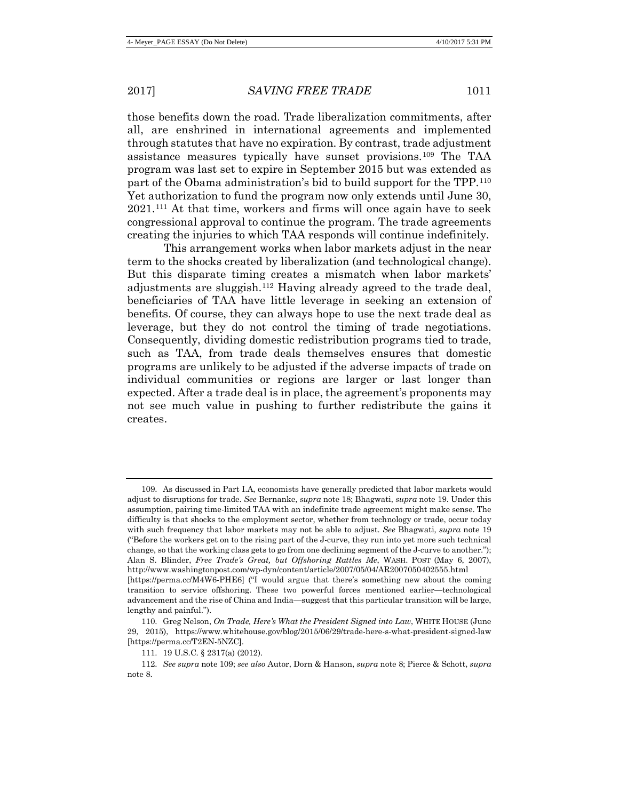<span id="page-26-0"></span>those benefits down the road. Trade liberalization commitments, after all, are enshrined in international agreements and implemented through statutes that have no expiration. By contrast, trade adjustment assistance measures typically have sunset provisions.[109](#page-26-1) The TAA program was last set to expire in September 2015 but was extended as part of the Obama administration's bid to build support for the TPP.[110](#page-26-2) Yet authorization to fund the program now only extends until June 30, 2021.[111](#page-26-3) At that time, workers and firms will once again have to seek congressional approval to continue the program. The trade agreements creating the injuries to which TAA responds will continue indefinitely.

This arrangement works when labor markets adjust in the near term to the shocks created by liberalization (and technological change). But this disparate timing creates a mismatch when labor markets' adjustments are sluggish.[112](#page-26-4) Having already agreed to the trade deal, beneficiaries of TAA have little leverage in seeking an extension of benefits. Of course, they can always hope to use the next trade deal as leverage, but they do not control the timing of trade negotiations. Consequently, dividing domestic redistribution programs tied to trade, such as TAA, from trade deals themselves ensures that domestic programs are unlikely to be adjusted if the adverse impacts of trade on individual communities or regions are larger or last longer than expected. After a trade deal is in place, the agreement's proponents may not see much value in pushing to further redistribute the gains it creates.

<span id="page-26-1"></span><sup>109.</sup> As discussed in Part I.A, economists have generally predicted that labor markets would adjust to disruptions for trade. *See* Bernanke, *supra* note [18;](#page-9-0) Bhagwati, *supra* note [19.](#page-9-1) Under this assumption, pairing time-limited TAA with an indefinite trade agreement might make sense. The difficulty is that shocks to the employment sector, whether from technology or trade, occur today with such frequency that labor markets may not be able to adjust. *See* Bhagwati, *supra* note [19](#page-9-1) ("Before the workers get on to the rising part of the J-curve, they run into yet more such technical change, so that the working class gets to go from one declining segment of the J-curve to another."); Alan S. Blinder, *Free Trade's Great, but Offshoring Rattles Me*, WASH. POST (May 6, 2007), http://www.washingtonpost.com/wp-dyn/content/article/2007/05/04/AR2007050402555.html [https://perma.cc/M4W6-PHE6] ("I would argue that there's something new about the coming

transition to service offshoring. These two powerful forces mentioned earlier—technological advancement and the rise of China and India—suggest that this particular transition will be large, lengthy and painful.").

<span id="page-26-2"></span><sup>110.</sup> Greg Nelson, *On Trade, Here's What the President Signed into Law*, WHITE HOUSE (June 29, 2015), https://www.whitehouse.gov/blog/2015/06/29/trade-here-s-what-president-signed-law [https://perma.cc/T2EN-5NZC].

<sup>111.</sup> 19 U.S.C. § 2317(a) (2012).

<span id="page-26-4"></span><span id="page-26-3"></span><sup>112.</sup> *See supra* not[e 109;](#page-26-0) *see also* Autor, Dorn & Hanson, *supra* not[e 8;](#page-4-4) Pierce & Schott, *supra*  not[e 8.](#page-4-4)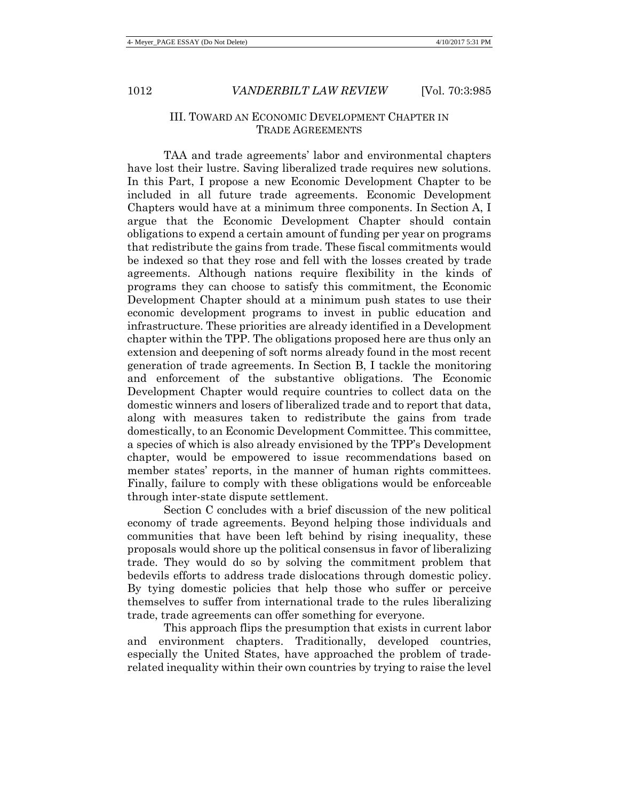#### III. TOWARD AN ECONOMIC DEVELOPMENT CHAPTER IN TRADE AGREEMENTS

TAA and trade agreements' labor and environmental chapters have lost their lustre. Saving liberalized trade requires new solutions. In this Part, I propose a new Economic Development Chapter to be included in all future trade agreements. Economic Development Chapters would have at a minimum three components. In Section A, I argue that the Economic Development Chapter should contain obligations to expend a certain amount of funding per year on programs that redistribute the gains from trade. These fiscal commitments would be indexed so that they rose and fell with the losses created by trade agreements. Although nations require flexibility in the kinds of programs they can choose to satisfy this commitment, the Economic Development Chapter should at a minimum push states to use their economic development programs to invest in public education and infrastructure. These priorities are already identified in a Development chapter within the TPP. The obligations proposed here are thus only an extension and deepening of soft norms already found in the most recent generation of trade agreements. In Section B, I tackle the monitoring and enforcement of the substantive obligations. The Economic Development Chapter would require countries to collect data on the domestic winners and losers of liberalized trade and to report that data, along with measures taken to redistribute the gains from trade domestically, to an Economic Development Committee. This committee, a species of which is also already envisioned by the TPP's Development chapter, would be empowered to issue recommendations based on member states' reports, in the manner of human rights committees. Finally, failure to comply with these obligations would be enforceable through inter-state dispute settlement.

Section C concludes with a brief discussion of the new political economy of trade agreements. Beyond helping those individuals and communities that have been left behind by rising inequality, these proposals would shore up the political consensus in favor of liberalizing trade. They would do so by solving the commitment problem that bedevils efforts to address trade dislocations through domestic policy. By tying domestic policies that help those who suffer or perceive themselves to suffer from international trade to the rules liberalizing trade, trade agreements can offer something for everyone.

This approach flips the presumption that exists in current labor and environment chapters. Traditionally, developed countries, especially the United States, have approached the problem of traderelated inequality within their own countries by trying to raise the level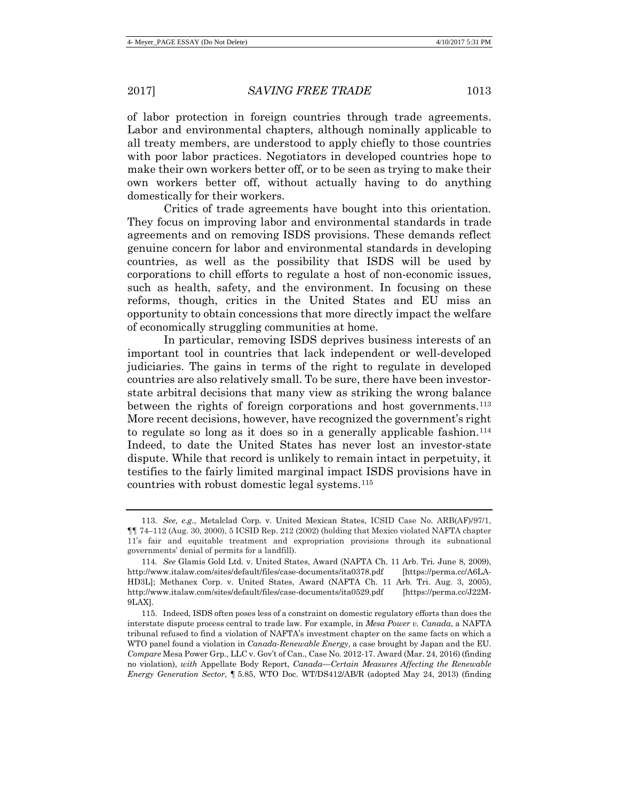of labor protection in foreign countries through trade agreements. Labor and environmental chapters, although nominally applicable to all treaty members, are understood to apply chiefly to those countries with poor labor practices. Negotiators in developed countries hope to make their own workers better off, or to be seen as trying to make their own workers better off, without actually having to do anything domestically for their workers.

Critics of trade agreements have bought into this orientation. They focus on improving labor and environmental standards in trade agreements and on removing ISDS provisions. These demands reflect genuine concern for labor and environmental standards in developing countries, as well as the possibility that ISDS will be used by corporations to chill efforts to regulate a host of non-economic issues, such as health, safety, and the environment. In focusing on these reforms, though, critics in the United States and EU miss an opportunity to obtain concessions that more directly impact the welfare of economically struggling communities at home.

In particular, removing ISDS deprives business interests of an important tool in countries that lack independent or well-developed judiciaries. The gains in terms of the right to regulate in developed countries are also relatively small. To be sure, there have been investorstate arbitral decisions that many view as striking the wrong balance between the rights of foreign corporations and host governments.<sup>[113](#page-28-0)</sup> More recent decisions, however, have recognized the government's right to regulate so long as it does so in a generally applicable fashion.<sup>[114](#page-28-1)</sup> Indeed, to date the United States has never lost an investor-state dispute. While that record is unlikely to remain intact in perpetuity, it testifies to the fairly limited marginal impact ISDS provisions have in countries with robust domestic legal systems.[115](#page-28-2)

<span id="page-28-0"></span><sup>113.</sup> *See, e.g.*, Metalclad Corp. v. United Mexican States, ICSID Case No. ARB(AF)/97/1, ¶¶ 74–112 (Aug. 30, 2000), 5 ICSID Rep. 212 (2002) (holding that Mexico violated NAFTA chapter 11's fair and equitable treatment and expropriation provisions through its subnational governments' denial of permits for a landfill).

<span id="page-28-1"></span><sup>114.</sup> *See* Glamis Gold Ltd. v. United States, Award (NAFTA Ch. 11 Arb. Tri. June 8, 2009), http://www.italaw.com/sites/default/files/case-documents/ita0378.pdf [https://perma.cc/A6LA-HD3L]; Methanex Corp. v. United States, Award (NAFTA Ch. 11 Arb. Tri. Aug. 3, 2005), http://www.italaw.com/sites/default/files/case-documents/ita0529.pdf [https://perma.cc/J22M-9LAX].

<span id="page-28-2"></span><sup>115.</sup> Indeed, ISDS often poses less of a constraint on domestic regulatory efforts than does the interstate dispute process central to trade law. For example, in *Mesa Power v. Canada*, a NAFTA tribunal refused to find a violation of NAFTA's investment chapter on the same facts on which a WTO panel found a violation in *Canada-Renewable Energy*, a case brought by Japan and the EU. *Compare* Mesa Power Grp., LLC v. Gov't of Can., Case No. 2012-17. Award (Mar. 24, 2016) (finding no violation), *with* Appellate Body Report, *Canada—Certain Measures Affecting the Renewable Energy Generation Sector*, ¶ 5.85, WTO Doc. WT/DS412/AB/R (adopted May 24, 2013) (finding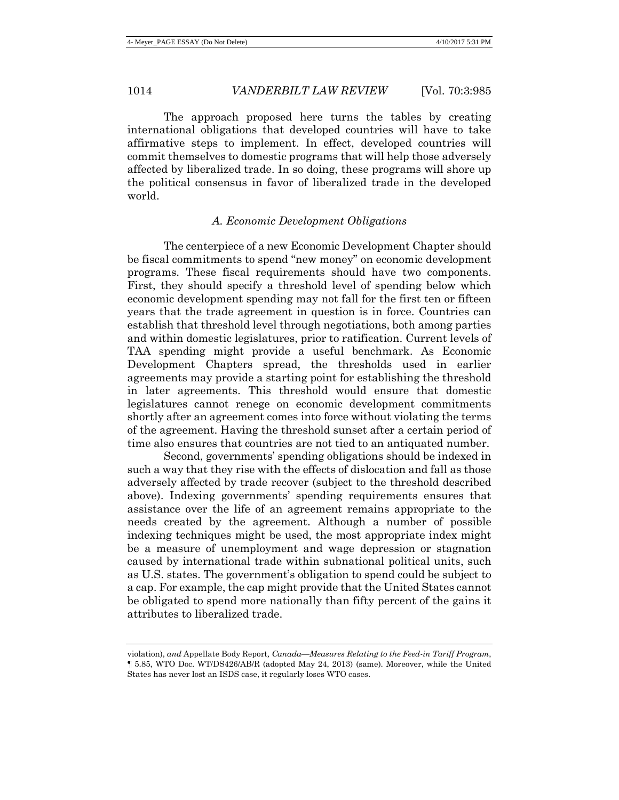The approach proposed here turns the tables by creating international obligations that developed countries will have to take affirmative steps to implement. In effect, developed countries will commit themselves to domestic programs that will help those adversely affected by liberalized trade. In so doing, these programs will shore up the political consensus in favor of liberalized trade in the developed world.

#### *A. Economic Development Obligations*

The centerpiece of a new Economic Development Chapter should be fiscal commitments to spend "new money" on economic development programs. These fiscal requirements should have two components. First, they should specify a threshold level of spending below which economic development spending may not fall for the first ten or fifteen years that the trade agreement in question is in force. Countries can establish that threshold level through negotiations, both among parties and within domestic legislatures, prior to ratification. Current levels of TAA spending might provide a useful benchmark. As Economic Development Chapters spread, the thresholds used in earlier agreements may provide a starting point for establishing the threshold in later agreements. This threshold would ensure that domestic legislatures cannot renege on economic development commitments shortly after an agreement comes into force without violating the terms of the agreement. Having the threshold sunset after a certain period of time also ensures that countries are not tied to an antiquated number.

Second, governments' spending obligations should be indexed in such a way that they rise with the effects of dislocation and fall as those adversely affected by trade recover (subject to the threshold described above). Indexing governments' spending requirements ensures that assistance over the life of an agreement remains appropriate to the needs created by the agreement. Although a number of possible indexing techniques might be used, the most appropriate index might be a measure of unemployment and wage depression or stagnation caused by international trade within subnational political units, such as U.S. states. The government's obligation to spend could be subject to a cap. For example, the cap might provide that the United States cannot be obligated to spend more nationally than fifty percent of the gains it attributes to liberalized trade.

violation), *and* Appellate Body Report*, Canada*—*Measures Relating to the Feed-in Tariff Program*, ¶ 5.85, WTO Doc. WT/DS426/AB/R (adopted May 24, 2013) (same). Moreover, while the United States has never lost an ISDS case, it regularly loses WTO cases.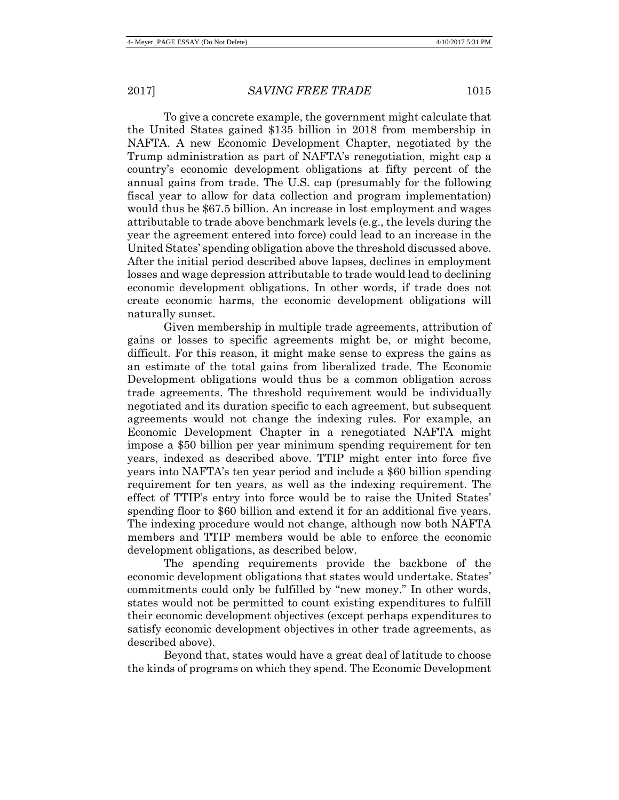To give a concrete example, the government might calculate that the United States gained \$135 billion in 2018 from membership in NAFTA. A new Economic Development Chapter, negotiated by the Trump administration as part of NAFTA's renegotiation, might cap a country's economic development obligations at fifty percent of the annual gains from trade. The U.S. cap (presumably for the following fiscal year to allow for data collection and program implementation) would thus be \$67.5 billion. An increase in lost employment and wages attributable to trade above benchmark levels (e.g., the levels during the year the agreement entered into force) could lead to an increase in the United States' spending obligation above the threshold discussed above. After the initial period described above lapses, declines in employment losses and wage depression attributable to trade would lead to declining economic development obligations. In other words, if trade does not create economic harms, the economic development obligations will naturally sunset.

Given membership in multiple trade agreements, attribution of gains or losses to specific agreements might be, or might become, difficult. For this reason, it might make sense to express the gains as an estimate of the total gains from liberalized trade. The Economic Development obligations would thus be a common obligation across trade agreements. The threshold requirement would be individually negotiated and its duration specific to each agreement, but subsequent agreements would not change the indexing rules. For example, an Economic Development Chapter in a renegotiated NAFTA might impose a \$50 billion per year minimum spending requirement for ten years, indexed as described above. TTIP might enter into force five years into NAFTA's ten year period and include a \$60 billion spending requirement for ten years, as well as the indexing requirement. The effect of TTIP's entry into force would be to raise the United States' spending floor to \$60 billion and extend it for an additional five years. The indexing procedure would not change, although now both NAFTA members and TTIP members would be able to enforce the economic development obligations, as described below.

The spending requirements provide the backbone of the economic development obligations that states would undertake. States' commitments could only be fulfilled by "new money." In other words, states would not be permitted to count existing expenditures to fulfill their economic development objectives (except perhaps expenditures to satisfy economic development objectives in other trade agreements, as described above).

Beyond that, states would have a great deal of latitude to choose the kinds of programs on which they spend. The Economic Development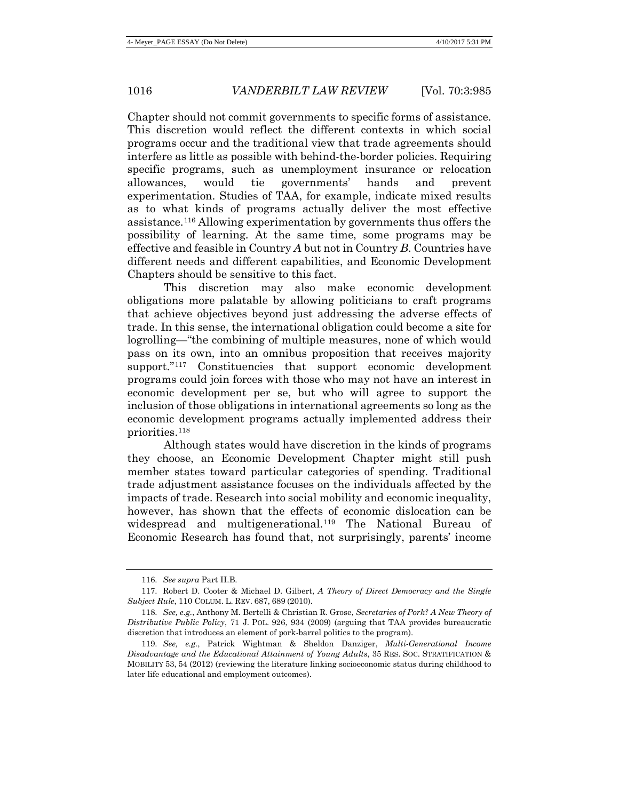Chapter should not commit governments to specific forms of assistance. This discretion would reflect the different contexts in which social programs occur and the traditional view that trade agreements should interfere as little as possible with behind-the-border policies. Requiring specific programs, such as unemployment insurance or relocation allowances, would tie governments' hands and prevent experimentation. Studies of TAA, for example, indicate mixed results as to what kinds of programs actually deliver the most effective assistance.[116](#page-31-0) Allowing experimentation by governments thus offers the possibility of learning. At the same time, some programs may be effective and feasible in Country *A* but not in Country *B*. Countries have different needs and different capabilities, and Economic Development Chapters should be sensitive to this fact.

This discretion may also make economic development obligations more palatable by allowing politicians to craft programs that achieve objectives beyond just addressing the adverse effects of trade. In this sense, the international obligation could become a site for logrolling*—*"the combining of multiple measures, none of which would pass on its own, into an omnibus proposition that receives majority support."<sup>[117](#page-31-1)</sup> Constituencies that support economic development programs could join forces with those who may not have an interest in economic development per se, but who will agree to support the inclusion of those obligations in international agreements so long as the economic development programs actually implemented address their priorities.[118](#page-31-2)

Although states would have discretion in the kinds of programs they choose, an Economic Development Chapter might still push member states toward particular categories of spending. Traditional trade adjustment assistance focuses on the individuals affected by the impacts of trade. Research into social mobility and economic inequality, however, has shown that the effects of economic dislocation can be widespread and multigenerational.<sup>[119](#page-31-3)</sup> The National Bureau of Economic Research has found that, not surprisingly, parents' income

<sup>116.</sup> *See supra* Part II.B.

<span id="page-31-1"></span><span id="page-31-0"></span><sup>117.</sup> Robert D. Cooter & Michael D. Gilbert, *A Theory of Direct Democracy and the Single Subject Rule*, 110 COLUM. L. REV. 687, 689 (2010).

<span id="page-31-2"></span><sup>118.</sup> *See, e.g.*, Anthony M. Bertelli & Christian R. Grose, *Secretaries of Pork? A New Theory of Distributive Public Policy*, 71 J. POL. 926, 934 (2009) (arguing that TAA provides bureaucratic discretion that introduces an element of pork-barrel politics to the program).

<span id="page-31-3"></span><sup>119.</sup> *See, e.g.*, Patrick Wightman & Sheldon Danziger, *Multi-Generational Income Disadvantage and the Educational Attainment of Young Adults*, 35 RES. SOC. STRATIFICATION & MOBILITY 53, 54 (2012) (reviewing the literature linking socioeconomic status during childhood to later life educational and employment outcomes).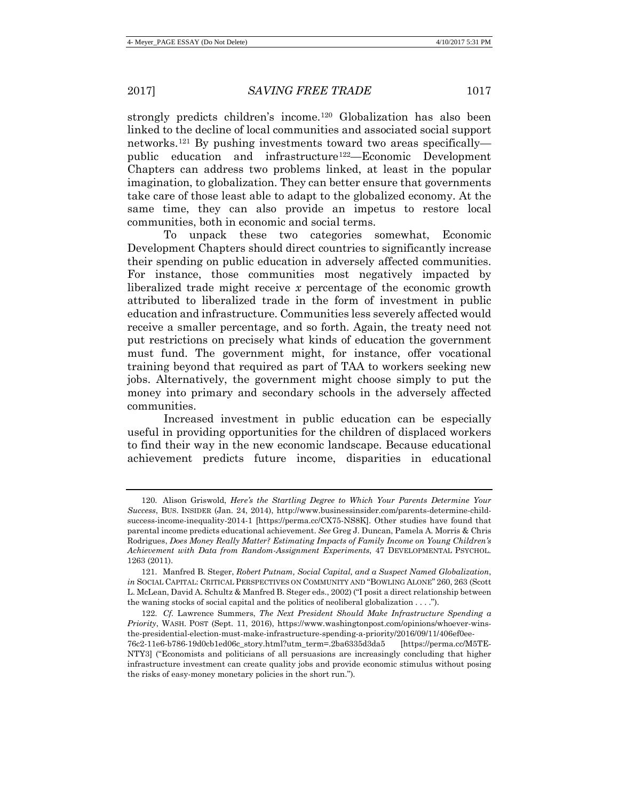strongly predicts children's income.<sup>[120](#page-32-0)</sup> Globalization has also been linked to the decline of local communities and associated social support networks.[121](#page-32-1) By pushing investments toward two areas specifically public education and infrastructure[122](#page-32-2)*—*Economic Development Chapters can address two problems linked, at least in the popular imagination, to globalization. They can better ensure that governments take care of those least able to adapt to the globalized economy. At the same time, they can also provide an impetus to restore local communities, both in economic and social terms.

To unpack these two categories somewhat, Economic Development Chapters should direct countries to significantly increase their spending on public education in adversely affected communities. For instance, those communities most negatively impacted by liberalized trade might receive *x* percentage of the economic growth attributed to liberalized trade in the form of investment in public education and infrastructure. Communities less severely affected would receive a smaller percentage, and so forth. Again, the treaty need not put restrictions on precisely what kinds of education the government must fund. The government might, for instance, offer vocational training beyond that required as part of TAA to workers seeking new jobs. Alternatively, the government might choose simply to put the money into primary and secondary schools in the adversely affected communities.

Increased investment in public education can be especially useful in providing opportunities for the children of displaced workers to find their way in the new economic landscape. Because educational achievement predicts future income, disparities in educational

<span id="page-32-0"></span><sup>120.</sup> Alison Griswold, *Here's the Startling Degree to Which Your Parents Determine Your Success*, BUS. INSIDER (Jan. 24, 2014), [http://www.businessinsider.com/parents-determine-child](http://www.businessinsider.com/parents-determine-child-success-income-inequality-2014-1)[success-income-inequality-2014-1](http://www.businessinsider.com/parents-determine-child-success-income-inequality-2014-1) [https://perma.cc/CX75-NS8K]. Other studies have found that parental income predicts educational achievement. *See* Greg J. Duncan, Pamela A. Morris & Chris Rodrigues, *Does Money Really Matter? Estimating Impacts of Family Income on Young Children's Achievement with Data from Random-Assignment Experiments*, 47 DEVELOPMENTAL PSYCHOL. 1263 (2011).

<span id="page-32-1"></span><sup>121.</sup> Manfred B. Steger, *Robert Putnam, Social Capital, and a Suspect Named Globalization*, *in* SOCIAL CAPITAL: CRITICAL PERSPECTIVES ON COMMUNITY AND "BOWLING ALONE" 260, 263 (Scott L. McLean, David A. Schultz & Manfred B. Steger eds., 2002) ("I posit a direct relationship between the waning stocks of social capital and the politics of neoliberal globalization . . . .").

<span id="page-32-2"></span><sup>122.</sup> *Cf.* Lawrence Summers, *The Next President Should Make Infrastructure Spending a Priority*, WASH. POST (Sept. 11, 2016), https://www.washingtonpost.com/opinions/whoever-winsthe-presidential-election-must-make-infrastructure-spending-a-priority/2016/09/11/406ef0ee-

<sup>76</sup>c2-11e6-b786-19d0cb1ed06c\_story.html?utm\_term=.2ba6335d3da5 [https://perma.cc/M5TE-NTY3] ("Economists and politicians of all persuasions are increasingly concluding that higher infrastructure investment can create quality jobs and provide economic stimulus without posing the risks of easy-money monetary policies in the short run.").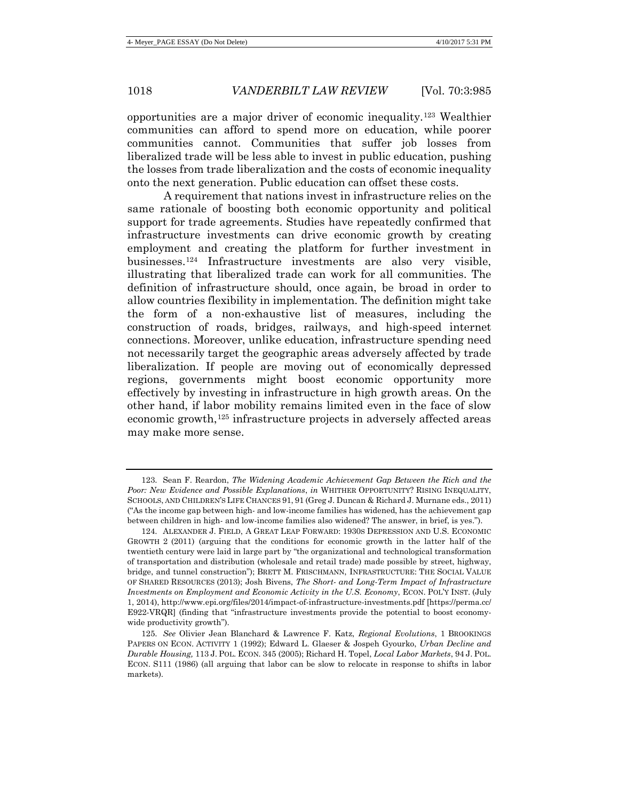opportunities are a major driver of economic inequality.[123](#page-33-0) Wealthier communities can afford to spend more on education, while poorer communities cannot. Communities that suffer job losses from liberalized trade will be less able to invest in public education, pushing the losses from trade liberalization and the costs of economic inequality onto the next generation. Public education can offset these costs.

A requirement that nations invest in infrastructure relies on the same rationale of boosting both economic opportunity and political support for trade agreements. Studies have repeatedly confirmed that infrastructure investments can drive economic growth by creating employment and creating the platform for further investment in businesses.[124](#page-33-1) Infrastructure investments are also very visible, illustrating that liberalized trade can work for all communities. The definition of infrastructure should, once again, be broad in order to allow countries flexibility in implementation. The definition might take the form of a non-exhaustive list of measures, including the construction of roads, bridges, railways, and high-speed internet connections. Moreover, unlike education, infrastructure spending need not necessarily target the geographic areas adversely affected by trade liberalization. If people are moving out of economically depressed regions, governments might boost economic opportunity more effectively by investing in infrastructure in high growth areas. On the other hand, if labor mobility remains limited even in the face of slow economic growth,[125](#page-33-2) infrastructure projects in adversely affected areas may make more sense.

<span id="page-33-0"></span><sup>123.</sup> Sean F. Reardon, *The Widening Academic Achievement Gap Between the Rich and the Poor: New Evidence and Possible Explanations*, *in* WHITHER OPPORTUNITY? RISING INEQUALITY, SCHOOLS, AND CHILDREN'S LIFE CHANCES 91, 91 (Greg J. Duncan & Richard J. Murnane eds., 2011) ("As the income gap between high- and low-income families has widened, has the achievement gap between children in high- and low-income families also widened? The answer, in brief, is yes.").

<span id="page-33-1"></span><sup>124.</sup> ALEXANDER J. FIELD, A GREAT LEAP FORWARD: 1930S DEPRESSION AND U.S. ECONOMIC GROWTH 2 (2011) (arguing that the conditions for economic growth in the latter half of the twentieth century were laid in large part by "the organizational and technological transformation of transportation and distribution (wholesale and retail trade) made possible by street, highway, bridge, and tunnel construction"); BRETT M. FRISCHMANN, INFRASTRUCTURE: THE SOCIAL VALUE OF SHARED RESOURCES (2013); Josh Bivens, *The Short- and Long-Term Impact of Infrastructure Investments on Employment and Economic Activity in the U.S. Economy*, ECON. POL'Y INST. (July 1, 2014), http://www.epi.org/files/2014/impact-of-infrastructure-investments.pdf [https://perma.cc/ E922-VRQR] (finding that "infrastructure investments provide the potential to boost economywide productivity growth").

<span id="page-33-2"></span><sup>125.</sup> *See* Olivier Jean Blanchard & Lawrence F. Katz, *Regional Evolutions*, 1 BROOKINGS PAPERS ON ECON. ACTIVITY 1 (1992); Edward L. Glaeser & Jospeh Gyourko, *Urban Decline and Durable Housing,* 113 J. POL. ECON*.* 345 (2005); Richard H. Topel, *Local Labor Markets*, 94 J. POL. ECON. S111 (1986) (all arguing that labor can be slow to relocate in response to shifts in labor markets).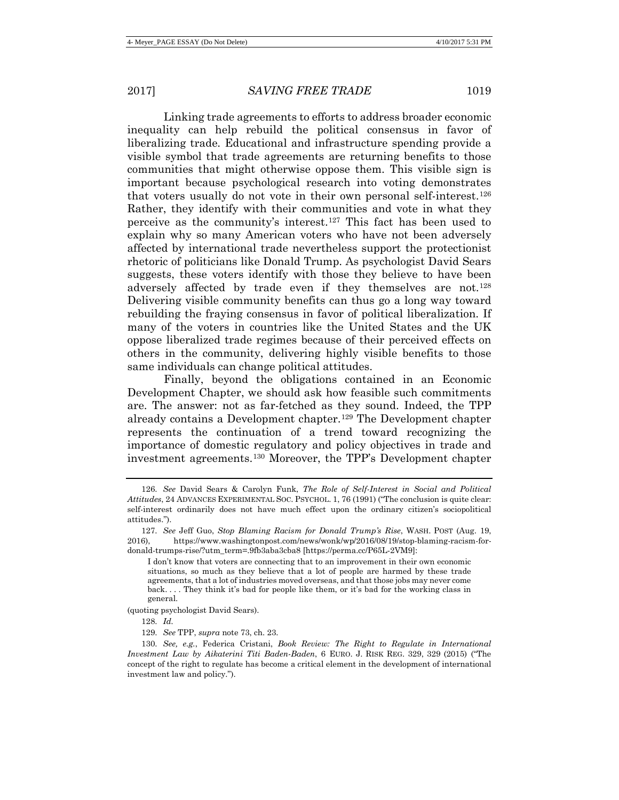Linking trade agreements to efforts to address broader economic inequality can help rebuild the political consensus in favor of liberalizing trade. Educational and infrastructure spending provide a visible symbol that trade agreements are returning benefits to those communities that might otherwise oppose them. This visible sign is important because psychological research into voting demonstrates that voters usually do not vote in their own personal self-interest.[126](#page-34-0) Rather, they identify with their communities and vote in what they perceive as the community's interest.[127](#page-34-1) This fact has been used to explain why so many American voters who have not been adversely affected by international trade nevertheless support the protectionist rhetoric of politicians like Donald Trump. As psychologist David Sears suggests, these voters identify with those they believe to have been adversely affected by trade even if they themselves are not.[128](#page-34-2) Delivering visible community benefits can thus go a long way toward rebuilding the fraying consensus in favor of political liberalization. If many of the voters in countries like the United States and the UK oppose liberalized trade regimes because of their perceived effects on others in the community, delivering highly visible benefits to those same individuals can change political attitudes.

Finally, beyond the obligations contained in an Economic Development Chapter, we should ask how feasible such commitments are. The answer: not as far-fetched as they sound. Indeed, the TPP already contains a Development chapter.[129](#page-34-3) The Development chapter represents the continuation of a trend toward recognizing the importance of domestic regulatory and policy objectives in trade and investment agreements.[130](#page-34-4) Moreover, the TPP's Development chapter

<span id="page-34-2"></span>(quoting psychologist David Sears).

<span id="page-34-0"></span><sup>126.</sup> *See* David Sears & Carolyn Funk, *The Role of Self-Interest in Social and Political Attitudes*, 24 ADVANCES EXPERIMENTAL SOC. PSYCHOL. 1, 76 (1991) ("The conclusion is quite clear: self-interest ordinarily does not have much effect upon the ordinary citizen's sociopolitical attitudes.").

<span id="page-34-1"></span><sup>127.</sup> *See* Jeff Guo, *Stop Blaming Racism for Donald Trump's Rise*, WASH. POST (Aug. 19, 2016), https://www.washingtonpost.com/news/wonk/wp/2016/08/19/stop-blaming-racism-fordonald-trumps-rise/?utm\_term=.9fb3aba3cba8 [https://perma.cc/P65L-2VM9]:

I don't know that voters are connecting that to an improvement in their own economic situations, so much as they believe that a lot of people are harmed by these trade agreements, that a lot of industries moved overseas, and that those jobs may never come back. . . . They think it's bad for people like them, or it's bad for the working class in general.

<sup>128.</sup> *Id.*

<sup>129.</sup> *See* TPP, *supra* note [73,](#page-20-5) ch. 23.

<span id="page-34-4"></span><span id="page-34-3"></span><sup>130.</sup> *See, e.g.*, Federica Cristani, *Book Review: The Right to Regulate in International Investment Law by Aikaterini Titi Baden-Baden*, 6 EURO. J. RISK REG. 329, 329 (2015) ("The concept of the right to regulate has become a critical element in the development of international investment law and policy.").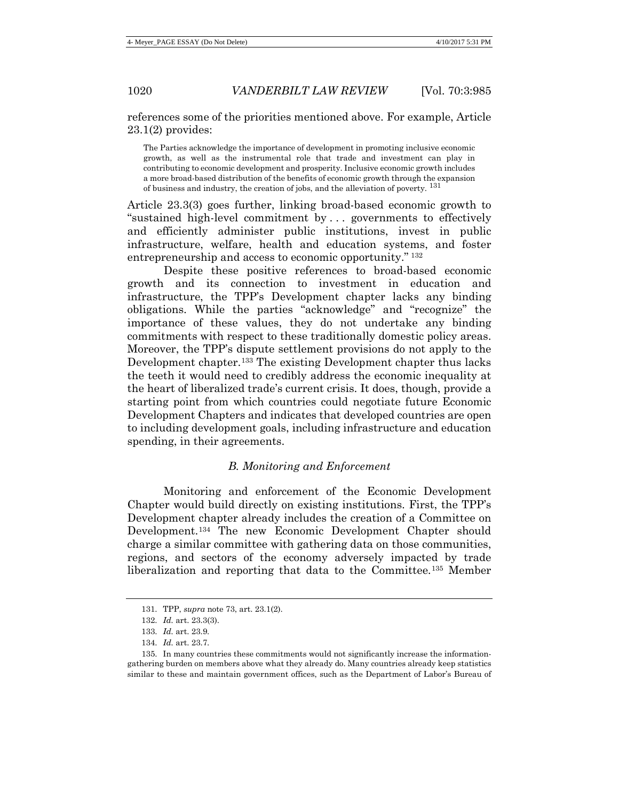references some of the priorities mentioned above. For example, Article  $23.1(2)$  provides:

The Parties acknowledge the importance of development in promoting inclusive economic growth, as well as the instrumental role that trade and investment can play in contributing to economic development and prosperity. Inclusive economic growth includes a more broad-based distribution of the benefits of economic growth through the expansion of business and industry, the creation of jobs, and the alleviation of poverty. [131](#page-35-0)

Article 23.3(3) goes further, linking broad-based economic growth to "sustained high-level commitment by . . . governments to effectively and efficiently administer public institutions, invest in public infrastructure, welfare, health and education systems, and foster entrepreneurship and access to economic opportunity." [132](#page-35-1)

Despite these positive references to broad-based economic growth and its connection to investment in education and infrastructure, the TPP's Development chapter lacks any binding obligations. While the parties "acknowledge" and "recognize" the importance of these values, they do not undertake any binding commitments with respect to these traditionally domestic policy areas. Moreover, the TPP's dispute settlement provisions do not apply to the Development chapter.[133](#page-35-2) The existing Development chapter thus lacks the teeth it would need to credibly address the economic inequality at the heart of liberalized trade's current crisis. It does, though, provide a starting point from which countries could negotiate future Economic Development Chapters and indicates that developed countries are open to including development goals, including infrastructure and education spending, in their agreements.

#### *B. Monitoring and Enforcement*

Monitoring and enforcement of the Economic Development Chapter would build directly on existing institutions. First, the TPP's Development chapter already includes the creation of a Committee on Development.[134](#page-35-3) The new Economic Development Chapter should charge a similar committee with gathering data on those communities, regions, and sectors of the economy adversely impacted by trade liberalization and reporting that data to the Committee.[135](#page-35-4) Member

<sup>131.</sup> TPP, *supra* not[e 73,](#page-20-5) art. 23.1(2).

<sup>132.</sup> *Id.* art. 23.3(3).

<sup>133.</sup> *Id.* art. 23.9.

<sup>134.</sup> *Id.* art. 23.7.

<span id="page-35-4"></span><span id="page-35-3"></span><span id="page-35-2"></span><span id="page-35-1"></span><span id="page-35-0"></span><sup>135.</sup> In many countries these commitments would not significantly increase the informationgathering burden on members above what they already do. Many countries already keep statistics similar to these and maintain government offices, such as the Department of Labor's Bureau of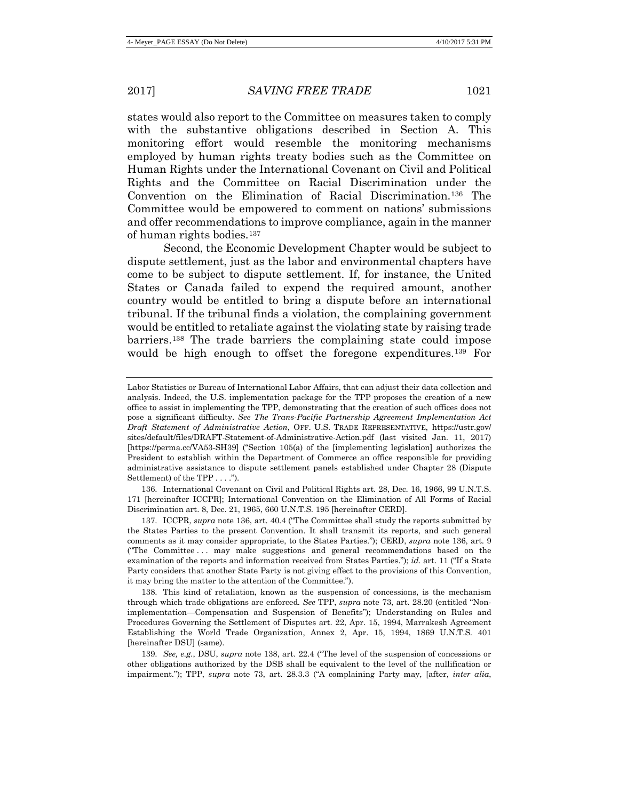states would also report to the Committee on measures taken to comply with the substantive obligations described in Section A. This monitoring effort would resemble the monitoring mechanisms employed by human rights treaty bodies such as the Committee on Human Rights under the International Covenant on Civil and Political Rights and the Committee on Racial Discrimination under the Convention on the Elimination of Racial Discrimination.[136](#page-36-2) The Committee would be empowered to comment on nations' submissions and offer recommendations to improve compliance, again in the manner of human rights bodies.[137](#page-36-3)

<span id="page-36-0"></span>Second, the Economic Development Chapter would be subject to dispute settlement, just as the labor and environmental chapters have come to be subject to dispute settlement. If, for instance, the United States or Canada failed to expend the required amount, another country would be entitled to bring a dispute before an international tribunal. If the tribunal finds a violation, the complaining government would be entitled to retaliate against the violating state by raising trade barriers.[138](#page-36-4) The trade barriers the complaining state could impose would be high enough to offset the foregone expenditures.<sup>[139](#page-36-5)</sup> For

<span id="page-36-2"></span>136. International Covenant on Civil and Political Rights art. 28, Dec. 16, 1966, 99 U.N.T.S. 171 [hereinafter ICCPR]; International Convention on the Elimination of All Forms of Racial Discrimination art. 8, Dec. 21, 1965, 660 U.N.T.S. 195 [hereinafter CERD].

<span id="page-36-3"></span>137. ICCPR, *supra* not[e 136,](#page-36-0) art. 40.4 ("The Committee shall study the reports submitted by the States Parties to the present Convention. It shall transmit its reports, and such general comments as it may consider appropriate, to the States Parties."); CERD, *supra* note [136,](#page-36-0) art. 9 ("The Committee . . . may make suggestions and general recommendations based on the examination of the reports and information received from States Parties."); *id.* art. 11 ("If a State Party considers that another State Party is not giving effect to the provisions of this Convention, it may bring the matter to the attention of the Committee.").

<span id="page-36-4"></span>138. This kind of retaliation, known as the suspension of concessions, is the mechanism through which trade obligations are enforced. *See* TPP, *supra* note [73,](#page-20-5) art. 28.20 (entitled "Nonimplementation—Compensation and Suspension of Benefits"); Understanding on Rules and Procedures Governing the Settlement of Disputes art. 22, Apr. 15, 1994, Marrakesh Agreement Establishing the World Trade Organization, Annex 2, Apr. 15, 1994, 1869 U.N.T.S. 401 [hereinafter DSU] (same).

<span id="page-36-5"></span>139. *See, e.g.*, DSU, *supra* note [138,](#page-36-1) art. 22.4 ("The level of the suspension of concessions or other obligations authorized by the DSB shall be equivalent to the level of the nullification or impairment."); TPP, *supra* note [73,](#page-20-5) art. 28.3.3 ("A complaining Party may, [after, *inter alia*,

<span id="page-36-1"></span>Labor Statistics or Bureau of International Labor Affairs, that can adjust their data collection and analysis. Indeed, the U.S. implementation package for the TPP proposes the creation of a new office to assist in implementing the TPP, demonstrating that the creation of such offices does not pose a significant difficulty. *See The Trans-Pacific Partnership Agreement Implementation Act Draft Statement of Administrative Action*, OFF. U.S. TRADE REPRESENTATIVE, https://ustr.gov/ sites/default/files/DRAFT-Statement-of-Administrative-Action.pdf (last visited Jan. 11, 2017) [https://perma.cc/VA53-SH39] ("Section 105(a) of the [implementing legislation] authorizes the President to establish within the Department of Commerce an office responsible for providing administrative assistance to dispute settlement panels established under Chapter 28 (Dispute Settlement) of the TPP . . . .").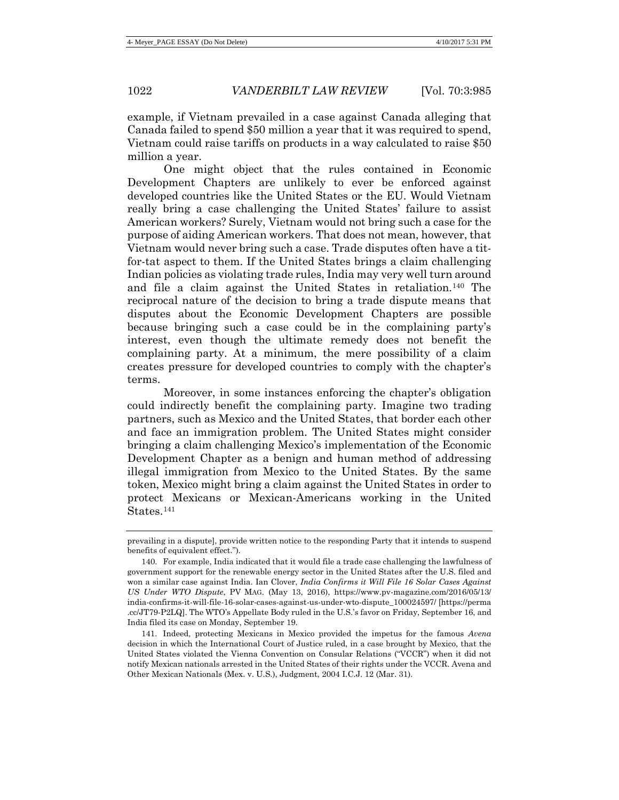example, if Vietnam prevailed in a case against Canada alleging that Canada failed to spend \$50 million a year that it was required to spend, Vietnam could raise tariffs on products in a way calculated to raise \$50 million a year.

One might object that the rules contained in Economic Development Chapters are unlikely to ever be enforced against developed countries like the United States or the EU. Would Vietnam really bring a case challenging the United States' failure to assist American workers? Surely, Vietnam would not bring such a case for the purpose of aiding American workers. That does not mean, however, that Vietnam would never bring such a case. Trade disputes often have a titfor-tat aspect to them. If the United States brings a claim challenging Indian policies as violating trade rules, India may very well turn around and file a claim against the United States in retaliation.[140](#page-37-0) The reciprocal nature of the decision to bring a trade dispute means that disputes about the Economic Development Chapters are possible because bringing such a case could be in the complaining party's interest, even though the ultimate remedy does not benefit the complaining party. At a minimum, the mere possibility of a claim creates pressure for developed countries to comply with the chapter's terms.

Moreover, in some instances enforcing the chapter's obligation could indirectly benefit the complaining party. Imagine two trading partners, such as Mexico and the United States, that border each other and face an immigration problem. The United States might consider bringing a claim challenging Mexico's implementation of the Economic Development Chapter as a benign and human method of addressing illegal immigration from Mexico to the United States. By the same token, Mexico might bring a claim against the United States in order to protect Mexicans or Mexican-Americans working in the United States.<sup>[141](#page-37-1)</sup>

prevailing in a dispute], provide written notice to the responding Party that it intends to suspend benefits of equivalent effect.").

<span id="page-37-0"></span><sup>140.</sup> For example, India indicated that it would file a trade case challenging the lawfulness of government support for the renewable energy sector in the United States after the U.S. filed and won a similar case against India. Ian Clover, *India Confirms it Will File 16 Solar Cases Against US Under WTO Dispute*, PV MAG. (May 13, 2016), https://www.pv-magazine.com/2016/05/13/ india-confirms-it-will-file-16-solar-cases-against-us-under-wto-dispute\_100024597/ [https://perma .cc/JT79-P2LQ]. The WTO's Appellate Body ruled in the U.S.'s favor on Friday, September 16, and India filed its case on Monday, September 19.

<span id="page-37-1"></span><sup>141.</sup> Indeed, protecting Mexicans in Mexico provided the impetus for the famous *Avena*  decision in which the International Court of Justice ruled, in a case brought by Mexico, that the United States violated the Vienna Convention on Consular Relations ("VCCR") when it did not notify Mexican nationals arrested in the United States of their rights under the VCCR. Avena and Other Mexican Nationals (Mex. v. U.S.), Judgment, 2004 I.C.J. 12 (Mar. 31).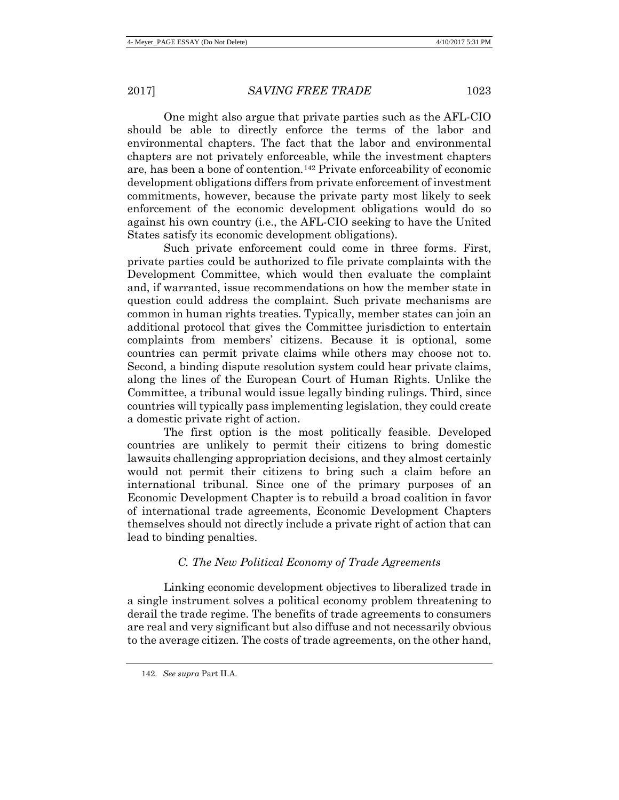One might also argue that private parties such as the AFL-CIO should be able to directly enforce the terms of the labor and environmental chapters. The fact that the labor and environmental chapters are not privately enforceable, while the investment chapters are, has been a bone of contention.[142](#page-38-0) Private enforceability of economic development obligations differs from private enforcement of investment commitments, however, because the private party most likely to seek enforcement of the economic development obligations would do so against his own country (i.e., the AFL-CIO seeking to have the United States satisfy its economic development obligations).

Such private enforcement could come in three forms. First, private parties could be authorized to file private complaints with the Development Committee, which would then evaluate the complaint and, if warranted, issue recommendations on how the member state in question could address the complaint. Such private mechanisms are common in human rights treaties. Typically, member states can join an additional protocol that gives the Committee jurisdiction to entertain complaints from members' citizens. Because it is optional, some countries can permit private claims while others may choose not to. Second, a binding dispute resolution system could hear private claims, along the lines of the European Court of Human Rights. Unlike the Committee, a tribunal would issue legally binding rulings. Third, since countries will typically pass implementing legislation, they could create a domestic private right of action.

The first option is the most politically feasible. Developed countries are unlikely to permit their citizens to bring domestic lawsuits challenging appropriation decisions, and they almost certainly would not permit their citizens to bring such a claim before an international tribunal. Since one of the primary purposes of an Economic Development Chapter is to rebuild a broad coalition in favor of international trade agreements, Economic Development Chapters themselves should not directly include a private right of action that can lead to binding penalties.

### *C. The New Political Economy of Trade Agreements*

Linking economic development objectives to liberalized trade in a single instrument solves a political economy problem threatening to derail the trade regime. The benefits of trade agreements to consumers are real and very significant but also diffuse and not necessarily obvious to the average citizen. The costs of trade agreements, on the other hand,

<span id="page-38-0"></span><sup>142.</sup> *See supra* Part II.A.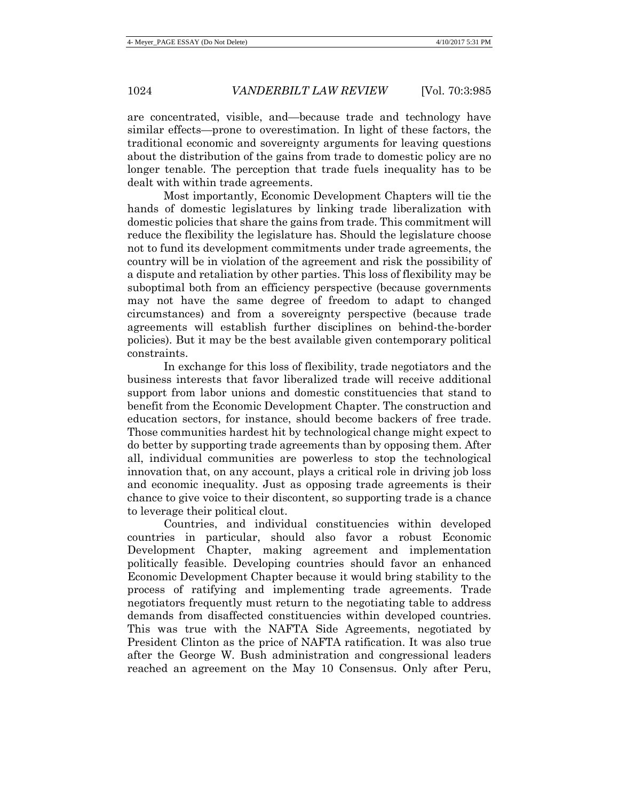are concentrated, visible, and—because trade and technology have similar effects—prone to overestimation. In light of these factors, the traditional economic and sovereignty arguments for leaving questions about the distribution of the gains from trade to domestic policy are no longer tenable. The perception that trade fuels inequality has to be dealt with within trade agreements.

Most importantly, Economic Development Chapters will tie the hands of domestic legislatures by linking trade liberalization with domestic policies that share the gains from trade. This commitment will reduce the flexibility the legislature has. Should the legislature choose not to fund its development commitments under trade agreements, the country will be in violation of the agreement and risk the possibility of a dispute and retaliation by other parties. This loss of flexibility may be suboptimal both from an efficiency perspective (because governments may not have the same degree of freedom to adapt to changed circumstances) and from a sovereignty perspective (because trade agreements will establish further disciplines on behind-the-border policies). But it may be the best available given contemporary political constraints.

In exchange for this loss of flexibility, trade negotiators and the business interests that favor liberalized trade will receive additional support from labor unions and domestic constituencies that stand to benefit from the Economic Development Chapter. The construction and education sectors, for instance, should become backers of free trade. Those communities hardest hit by technological change might expect to do better by supporting trade agreements than by opposing them. After all, individual communities are powerless to stop the technological innovation that, on any account, plays a critical role in driving job loss and economic inequality. Just as opposing trade agreements is their chance to give voice to their discontent, so supporting trade is a chance to leverage their political clout.

Countries, and individual constituencies within developed countries in particular, should also favor a robust Economic Development Chapter, making agreement and implementation politically feasible. Developing countries should favor an enhanced Economic Development Chapter because it would bring stability to the process of ratifying and implementing trade agreements. Trade negotiators frequently must return to the negotiating table to address demands from disaffected constituencies within developed countries. This was true with the NAFTA Side Agreements, negotiated by President Clinton as the price of NAFTA ratification. It was also true after the George W. Bush administration and congressional leaders reached an agreement on the May 10 Consensus. Only after Peru,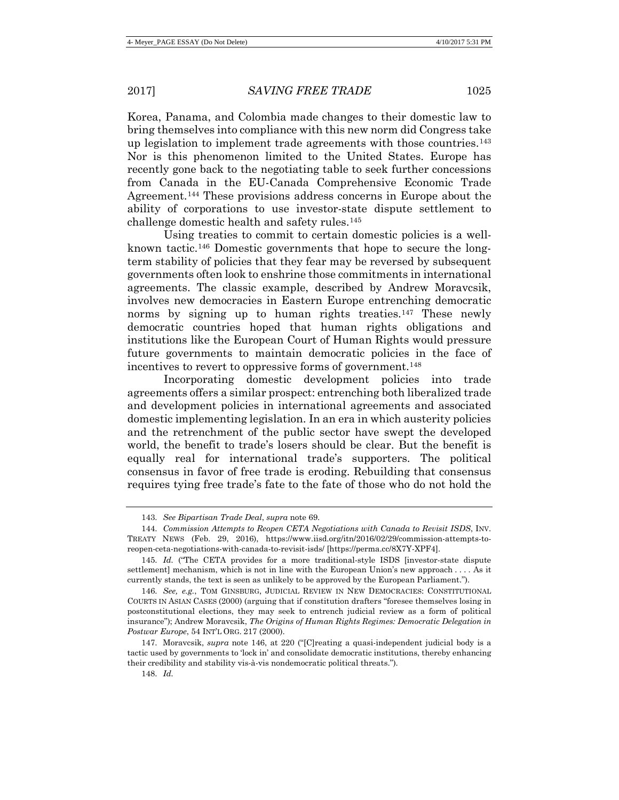Korea, Panama, and Colombia made changes to their domestic law to bring themselves into compliance with this new norm did Congress take up legislation to implement trade agreements with those countries.<sup>[143](#page-40-1)</sup> Nor is this phenomenon limited to the United States. Europe has recently gone back to the negotiating table to seek further concessions from Canada in the EU-Canada Comprehensive Economic Trade Agreement.[144](#page-40-2) These provisions address concerns in Europe about the ability of corporations to use investor-state dispute settlement to challenge domestic health and safety rules.[145](#page-40-3)

<span id="page-40-0"></span>Using treaties to commit to certain domestic policies is a wellknown tactic.[146](#page-40-4) Domestic governments that hope to secure the longterm stability of policies that they fear may be reversed by subsequent governments often look to enshrine those commitments in international agreements. The classic example, described by Andrew Moravcsik, involves new democracies in Eastern Europe entrenching democratic norms by signing up to human rights treaties.<sup>147</sup> These newly democratic countries hoped that human rights obligations and institutions like the European Court of Human Rights would pressure future governments to maintain democratic policies in the face of incentives to revert to oppressive forms of government.<sup>[148](#page-40-6)</sup>

Incorporating domestic development policies into trade agreements offers a similar prospect: entrenching both liberalized trade and development policies in international agreements and associated domestic implementing legislation. In an era in which austerity policies and the retrenchment of the public sector have swept the developed world, the benefit to trade's losers should be clear. But the benefit is equally real for international trade's supporters. The political consensus in favor of free trade is eroding. Rebuilding that consensus requires tying free trade's fate to the fate of those who do not hold the

<sup>143.</sup> *See Bipartisan Trade Deal*, *supra* not[e 69.](#page-19-6)

<span id="page-40-2"></span><span id="page-40-1"></span><sup>144.</sup> *Commission Attempts to Reopen CETA Negotiations with Canada to Revisit ISDS*, INV. TREATY NEWS (Feb. 29, 2016), https://www.iisd.org/itn/2016/02/29/commission-attempts-toreopen-ceta-negotiations-with-canada-to-revisit-isds/ [https://perma.cc/8X7Y-XPF4].

<span id="page-40-3"></span><sup>145.</sup> *Id.* ("The CETA provides for a more traditional-style ISDS [investor-state dispute settlement] mechanism, which is not in line with the European Union's new approach . . . . As it currently stands, the text is seen as unlikely to be approved by the European Parliament.").

<span id="page-40-4"></span><sup>146.</sup> *See, e.g.*, TOM GINSBURG, JUDICIAL REVIEW IN NEW DEMOCRACIES: CONSTITUTIONAL COURTS IN ASIAN CASES (2000) (arguing that if constitution drafters "foresee themselves losing in postconstitutional elections, they may seek to entrench judicial review as a form of political insurance"); Andrew Moravcsik, *The Origins of Human Rights Regimes: Democratic Delegation in Postwar Europe*, 54 INT'L ORG. 217 (2000).

<span id="page-40-6"></span><span id="page-40-5"></span><sup>147.</sup> Moravcsik, *supra* note [146,](#page-40-0) at 220 ("[C]reating a quasi-independent judicial body is a tactic used by governments to 'lock in' and consolidate democratic institutions, thereby enhancing their credibility and stability vis-à-vis nondemocratic political threats.").

<sup>148.</sup> *Id.*